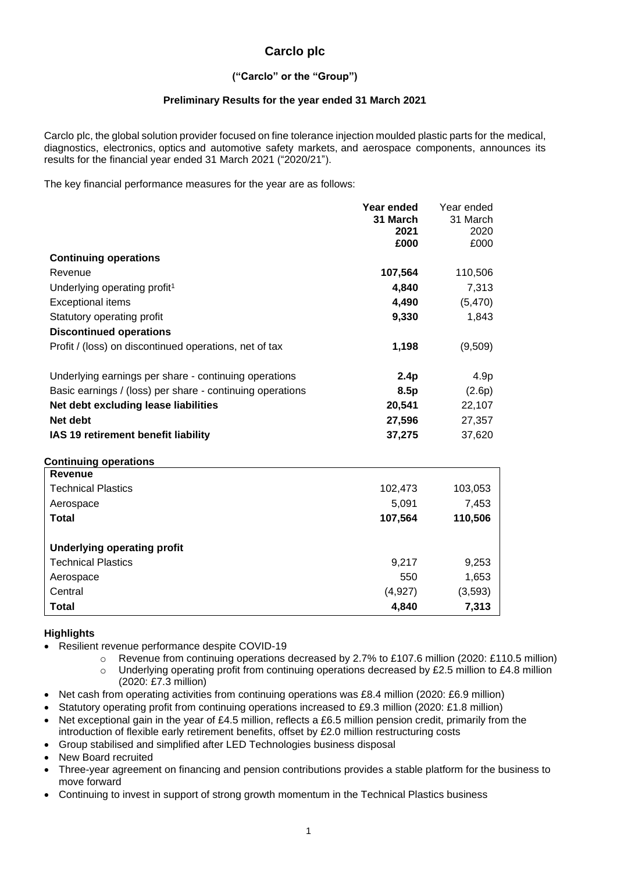# **Carclo plc**

# **("Carclo" or the "Group")**

### **Preliminary Results for the year ended 31 March 2021**

Carclo plc, the global solution provider focused on fine tolerance injection moulded plastic parts for the medical, diagnostics, electronics, optics and automotive safety markets, and aerospace components, announces its results for the financial year ended 31 March 2021 ("2020/21").

The key financial performance measures for the year are as follows:

|                                                           | Year ended | Year ended |
|-----------------------------------------------------------|------------|------------|
|                                                           | 31 March   | 31 March   |
|                                                           | 2021       | 2020       |
|                                                           | £000       | £000       |
| <b>Continuing operations</b>                              |            |            |
| Revenue                                                   | 107,564    | 110,506    |
| Underlying operating profit <sup>1</sup>                  | 4,840      | 7,313      |
| <b>Exceptional items</b>                                  | 4,490      | (5,470)    |
| Statutory operating profit                                | 9,330      | 1,843      |
| <b>Discontinued operations</b>                            |            |            |
| Profit / (loss) on discontinued operations, net of tax    | 1,198      | (9,509)    |
|                                                           |            | 4.9p       |
| Underlying earnings per share - continuing operations     | 2.4p       |            |
| Basic earnings / (loss) per share - continuing operations | 8.5p       | (2.6p)     |
| Net debt excluding lease liabilities                      | 20,541     | 22,107     |
| Net debt                                                  | 27,596     | 27,357     |
| IAS 19 retirement benefit liability                       | 37,275     | 37,620     |
| <b>Continuing operations</b>                              |            |            |
| <b>Revenue</b>                                            |            |            |
| <b>Technical Plastics</b>                                 | 102,473    | 103,053    |
| Aerospace                                                 | 5,091      | 7,453      |
| <b>Total</b>                                              | 107,564    | 110,506    |
| <b>Underlying operating profit</b>                        |            |            |
| <b>Technical Plastics</b>                                 | 9,217      | 9,253      |
| Aerospace                                                 | 550        | 1,653      |
| Central                                                   | (4,927)    | (3,593)    |
| <b>Total</b>                                              | 4,840      | 7,313      |

### **Highlights**

- Resilient revenue performance despite COVID-19
	- o Revenue from continuing operations decreased by 2.7% to £107.6 million (2020: £110.5 million)
	- o Underlying operating profit from continuing operations decreased by £2.5 million to £4.8 million (2020: £7.3 million)
- Net cash from operating activities from continuing operations was £8.4 million (2020: £6.9 million)
- Statutory operating profit from continuing operations increased to £9.3 million (2020: £1.8 million)
- Net exceptional gain in the year of £4.5 million, reflects a £6.5 million pension credit, primarily from the introduction of flexible early retirement benefits, offset by £2.0 million restructuring costs
- Group stabilised and simplified after LED Technologies business disposal

• New Board recruited

- Three-year agreement on financing and pension contributions provides a stable platform for the business to move forward
- Continuing to invest in support of strong growth momentum in the Technical Plastics business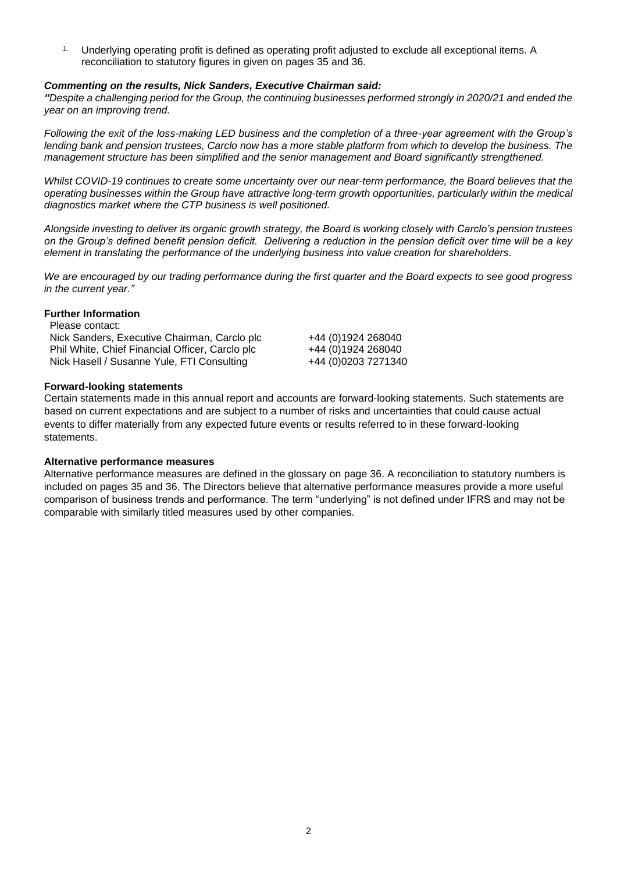<sup>1.</sup> Underlying operating profit is defined as operating profit adjusted to exclude all exceptional items. A reconciliation to statutory figures in given on pages 35 and 36.

### *Commenting on the results, Nick Sanders, Executive Chairman said:*

*"Despite a challenging period for the Group, the continuing businesses performed strongly in 2020/21 and ended the year on an improving trend.*

*Following the exit of the loss-making LED business and the completion of a three-year agreement with the Group's lending bank and pension trustees, Carclo now has a more stable platform from which to develop the business. The management structure has been simplified and the senior management and Board significantly strengthened.*

*Whilst COVID-19 continues to create some uncertainty over our near-term performance, the Board believes that the operating businesses within the Group have attractive long-term growth opportunities, particularly within the medical diagnostics market where the CTP business is well positioned.*

*Alongside investing to deliver its organic growth strategy, the Board is working closely with Carclo's pension trustees on the Group's defined benefit pension deficit. Delivering a reduction in the pension deficit over time will be a key element in translating the performance of the underlying business into value creation for shareholders.*

*We are encouraged by our trading performance during the first quarter and the Board expects to see good progress in the current year."*

### **Further Information**

| Please contact:                                 |                     |
|-------------------------------------------------|---------------------|
| Nick Sanders, Executive Chairman, Carclo plc    | +44 (0)1924 268040  |
| Phil White, Chief Financial Officer, Carclo plc | +44 (0)1924 268040  |
| Nick Hasell / Susanne Yule, FTI Consulting      | +44 (0)0203 7271340 |

### **Forward-looking statements**

Certain statements made in this annual report and accounts are forward-looking statements. Such statements are based on current expectations and are subject to a number of risks and uncertainties that could cause actual events to differ materially from any expected future events or results referred to in these forward-looking statements.

### **Alternative performance measures**

Alternative performance measures are defined in the glossary on page 36. A reconciliation to statutory numbers is included on pages 35 and 36. The Directors believe that alternative performance measures provide a more useful comparison of business trends and performance. The term "underlying" is not defined under IFRS and may not be comparable with similarly titled measures used by other companies.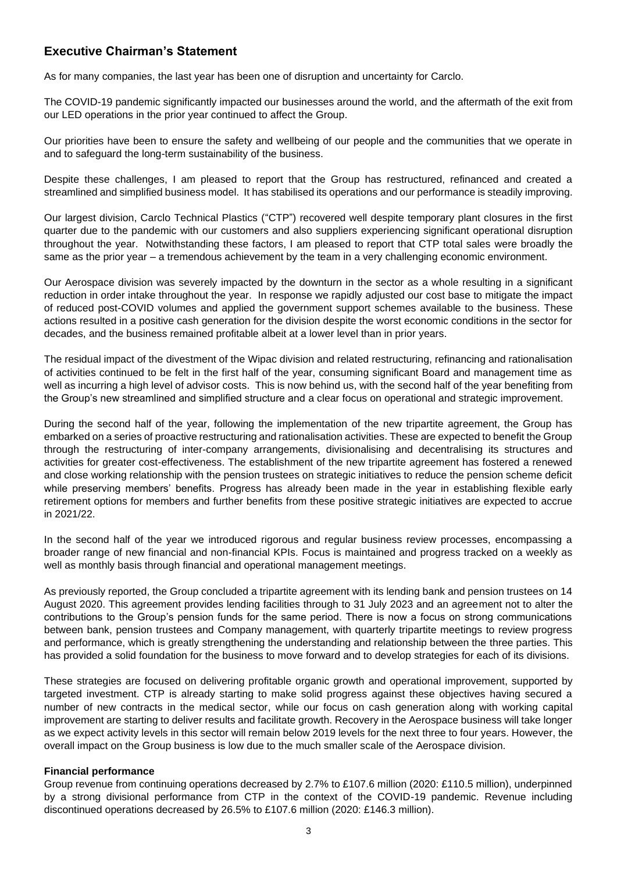# **Executive Chairman's Statement**

As for many companies, the last year has been one of disruption and uncertainty for Carclo.

The COVID-19 pandemic significantly impacted our businesses around the world, and the aftermath of the exit from our LED operations in the prior year continued to affect the Group.

Our priorities have been to ensure the safety and wellbeing of our people and the communities that we operate in and to safeguard the long-term sustainability of the business.

Despite these challenges, I am pleased to report that the Group has restructured, refinanced and created a streamlined and simplified business model. It has stabilised its operations and our performance is steadily improving.

Our largest division, Carclo Technical Plastics ("CTP") recovered well despite temporary plant closures in the first quarter due to the pandemic with our customers and also suppliers experiencing significant operational disruption throughout the year. Notwithstanding these factors, I am pleased to report that CTP total sales were broadly the same as the prior year – a tremendous achievement by the team in a very challenging economic environment.

Our Aerospace division was severely impacted by the downturn in the sector as a whole resulting in a significant reduction in order intake throughout the year. In response we rapidly adjusted our cost base to mitigate the impact of reduced post-COVID volumes and applied the government support schemes available to the business. These actions resulted in a positive cash generation for the division despite the worst economic conditions in the sector for decades, and the business remained profitable albeit at a lower level than in prior years.

The residual impact of the divestment of the Wipac division and related restructuring, refinancing and rationalisation of activities continued to be felt in the first half of the year, consuming significant Board and management time as well as incurring a high level of advisor costs. This is now behind us, with the second half of the year benefiting from the Group's new streamlined and simplified structure and a clear focus on operational and strategic improvement.

During the second half of the year, following the implementation of the new tripartite agreement, the Group has embarked on a series of proactive restructuring and rationalisation activities. These are expected to benefit the Group through the restructuring of inter-company arrangements, divisionalising and decentralising its structures and activities for greater cost-effectiveness. The establishment of the new tripartite agreement has fostered a renewed and close working relationship with the pension trustees on strategic initiatives to reduce the pension scheme deficit while preserving members' benefits. Progress has already been made in the year in establishing flexible early retirement options for members and further benefits from these positive strategic initiatives are expected to accrue in 2021/22.

In the second half of the year we introduced rigorous and regular business review processes, encompassing a broader range of new financial and non-financial KPIs. Focus is maintained and progress tracked on a weekly as well as monthly basis through financial and operational management meetings.

As previously reported, the Group concluded a tripartite agreement with its lending bank and pension trustees on 14 August 2020. This agreement provides lending facilities through to 31 July 2023 and an agreement not to alter the contributions to the Group's pension funds for the same period. There is now a focus on strong communications between bank, pension trustees and Company management, with quarterly tripartite meetings to review progress and performance, which is greatly strengthening the understanding and relationship between the three parties. This has provided a solid foundation for the business to move forward and to develop strategies for each of its divisions.

These strategies are focused on delivering profitable organic growth and operational improvement, supported by targeted investment. CTP is already starting to make solid progress against these objectives having secured a number of new contracts in the medical sector, while our focus on cash generation along with working capital improvement are starting to deliver results and facilitate growth. Recovery in the Aerospace business will take longer as we expect activity levels in this sector will remain below 2019 levels for the next three to four years. However, the overall impact on the Group business is low due to the much smaller scale of the Aerospace division.

### **Financial performance**

Group revenue from continuing operations decreased by 2.7% to £107.6 million (2020: £110.5 million), underpinned by a strong divisional performance from CTP in the context of the COVID-19 pandemic. Revenue including discontinued operations decreased by 26.5% to £107.6 million (2020: £146.3 million).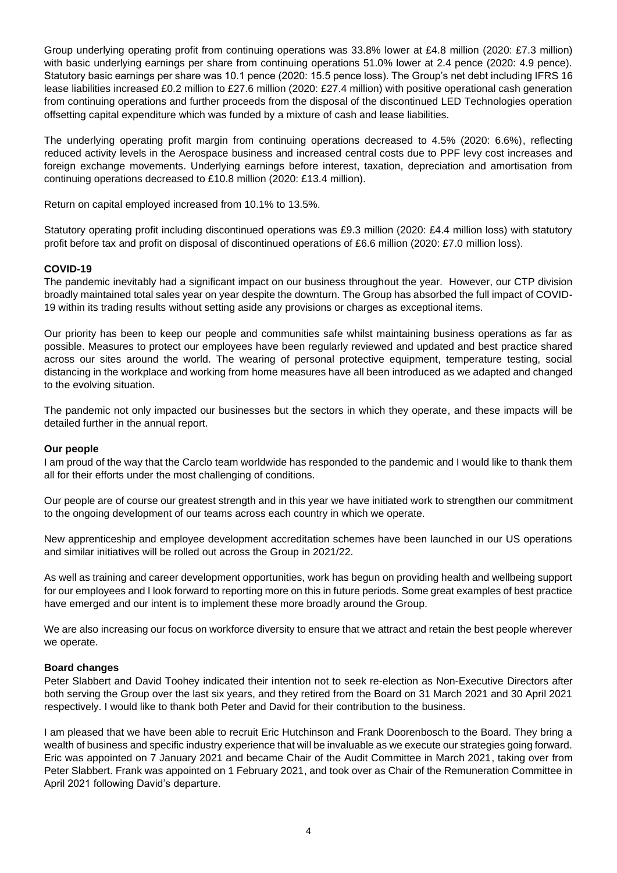Group underlying operating profit from continuing operations was 33.8% lower at £4.8 million (2020: £7.3 million) with basic underlying earnings per share from continuing operations 51.0% lower at 2.4 pence (2020: 4.9 pence). Statutory basic earnings per share was 10.1 pence (2020: 15.5 pence loss). The Group's net debt including IFRS 16 lease liabilities increased £0.2 million to £27.6 million (2020: £27.4 million) with positive operational cash generation from continuing operations and further proceeds from the disposal of the discontinued LED Technologies operation offsetting capital expenditure which was funded by a mixture of cash and lease liabilities.

The underlying operating profit margin from continuing operations decreased to 4.5% (2020: 6.6%), reflecting reduced activity levels in the Aerospace business and increased central costs due to PPF levy cost increases and foreign exchange movements. Underlying earnings before interest, taxation, depreciation and amortisation from continuing operations decreased to £10.8 million (2020: £13.4 million).

Return on capital employed increased from 10.1% to 13.5%.

Statutory operating profit including discontinued operations was £9.3 million (2020: £4.4 million loss) with statutory profit before tax and profit on disposal of discontinued operations of £6.6 million (2020: £7.0 million loss).

### **COVID-19**

The pandemic inevitably had a significant impact on our business throughout the year. However, our CTP division broadly maintained total sales year on year despite the downturn. The Group has absorbed the full impact of COVID-19 within its trading results without setting aside any provisions or charges as exceptional items.

Our priority has been to keep our people and communities safe whilst maintaining business operations as far as possible. Measures to protect our employees have been regularly reviewed and updated and best practice shared across our sites around the world. The wearing of personal protective equipment, temperature testing, social distancing in the workplace and working from home measures have all been introduced as we adapted and changed to the evolving situation.

The pandemic not only impacted our businesses but the sectors in which they operate, and these impacts will be detailed further in the annual report.

### **Our people**

I am proud of the way that the Carclo team worldwide has responded to the pandemic and I would like to thank them all for their efforts under the most challenging of conditions.

Our people are of course our greatest strength and in this year we have initiated work to strengthen our commitment to the ongoing development of our teams across each country in which we operate.

New apprenticeship and employee development accreditation schemes have been launched in our US operations and similar initiatives will be rolled out across the Group in 2021/22.

As well as training and career development opportunities, work has begun on providing health and wellbeing support for our employees and I look forward to reporting more on this in future periods. Some great examples of best practice have emerged and our intent is to implement these more broadly around the Group.

We are also increasing our focus on workforce diversity to ensure that we attract and retain the best people wherever we operate.

### **Board changes**

Peter Slabbert and David Toohey indicated their intention not to seek re-election as Non-Executive Directors after both serving the Group over the last six years, and they retired from the Board on 31 March 2021 and 30 April 2021 respectively. I would like to thank both Peter and David for their contribution to the business.

I am pleased that we have been able to recruit Eric Hutchinson and Frank Doorenbosch to the Board. They bring a wealth of business and specific industry experience that will be invaluable as we execute our strategies going forward. Eric was appointed on 7 January 2021 and became Chair of the Audit Committee in March 2021, taking over from Peter Slabbert. Frank was appointed on 1 February 2021, and took over as Chair of the Remuneration Committee in April 2021 following David's departure.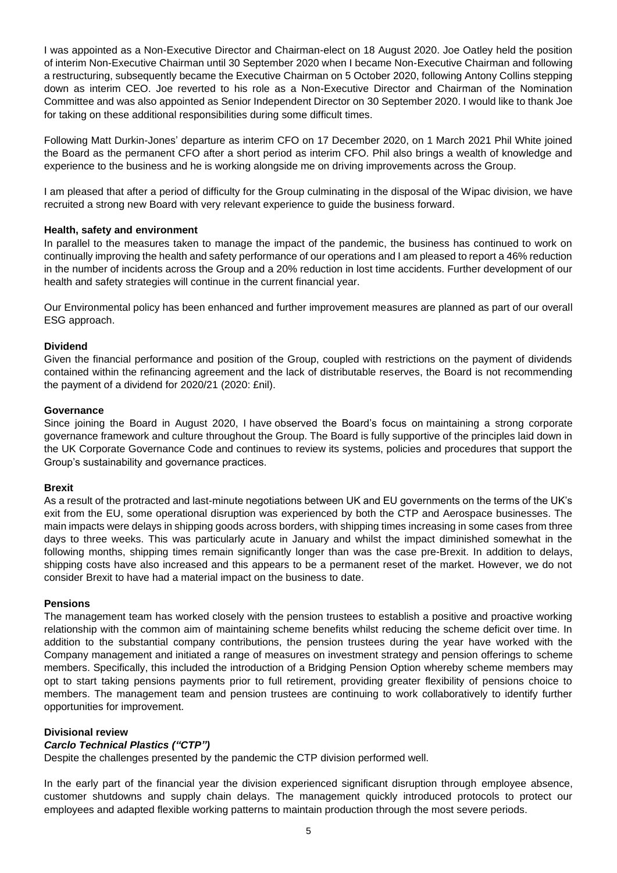I was appointed as a Non-Executive Director and Chairman-elect on 18 August 2020. Joe Oatley held the position of interim Non-Executive Chairman until 30 September 2020 when I became Non-Executive Chairman and following a restructuring, subsequently became the Executive Chairman on 5 October 2020, following Antony Collins stepping down as interim CEO. Joe reverted to his role as a Non-Executive Director and Chairman of the Nomination Committee and was also appointed as Senior Independent Director on 30 September 2020. I would like to thank Joe for taking on these additional responsibilities during some difficult times.

Following Matt Durkin-Jones' departure as interim CFO on 17 December 2020, on 1 March 2021 Phil White joined the Board as the permanent CFO after a short period as interim CFO. Phil also brings a wealth of knowledge and experience to the business and he is working alongside me on driving improvements across the Group.

I am pleased that after a period of difficulty for the Group culminating in the disposal of the Wipac division, we have recruited a strong new Board with very relevant experience to guide the business forward.

### **Health, safety and environment**

In parallel to the measures taken to manage the impact of the pandemic, the business has continued to work on continually improving the health and safety performance of our operations and I am pleased to report a 46% reduction in the number of incidents across the Group and a 20% reduction in lost time accidents. Further development of our health and safety strategies will continue in the current financial year.

Our Environmental policy has been enhanced and further improvement measures are planned as part of our overall ESG approach.

### **Dividend**

Given the financial performance and position of the Group, coupled with restrictions on the payment of dividends contained within the refinancing agreement and the lack of distributable reserves, the Board is not recommending the payment of a dividend for 2020/21 (2020: £nil).

### **Governance**

Since joining the Board in August 2020, I have observed the Board's focus on maintaining a strong corporate governance framework and culture throughout the Group. The Board is fully supportive of the principles laid down in the UK Corporate Governance Code and continues to review its systems, policies and procedures that support the Group's sustainability and governance practices.

### **Brexit**

As a result of the protracted and last-minute negotiations between UK and EU governments on the terms of the UK's exit from the EU, some operational disruption was experienced by both the CTP and Aerospace businesses. The main impacts were delays in shipping goods across borders, with shipping times increasing in some cases from three days to three weeks. This was particularly acute in January and whilst the impact diminished somewhat in the following months, shipping times remain significantly longer than was the case pre-Brexit. In addition to delays, shipping costs have also increased and this appears to be a permanent reset of the market. However, we do not consider Brexit to have had a material impact on the business to date.

### **Pensions**

The management team has worked closely with the pension trustees to establish a positive and proactive working relationship with the common aim of maintaining scheme benefits whilst reducing the scheme deficit over time. In addition to the substantial company contributions, the pension trustees during the year have worked with the Company management and initiated a range of measures on investment strategy and pension offerings to scheme members. Specifically, this included the introduction of a Bridging Pension Option whereby scheme members may opt to start taking pensions payments prior to full retirement, providing greater flexibility of pensions choice to members. The management team and pension trustees are continuing to work collaboratively to identify further opportunities for improvement.

### **Divisional review**

### *Carclo Technical Plastics ("CTP")*

Despite the challenges presented by the pandemic the CTP division performed well.

In the early part of the financial year the division experienced significant disruption through employee absence, customer shutdowns and supply chain delays. The management quickly introduced protocols to protect our employees and adapted flexible working patterns to maintain production through the most severe periods.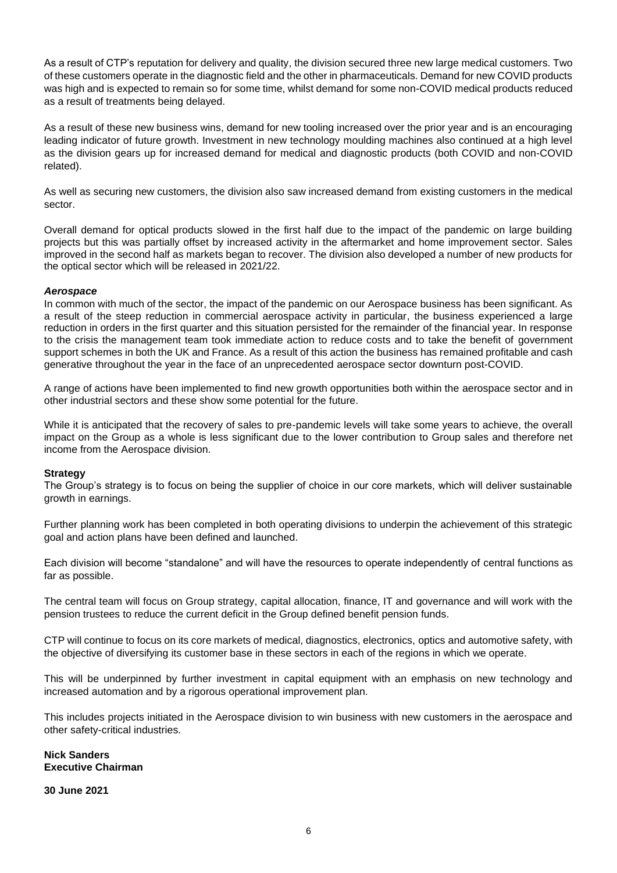As a result of CTP's reputation for delivery and quality, the division secured three new large medical customers. Two of these customers operate in the diagnostic field and the other in pharmaceuticals. Demand for new COVID products was high and is expected to remain so for some time, whilst demand for some non-COVID medical products reduced as a result of treatments being delayed.

As a result of these new business wins, demand for new tooling increased over the prior year and is an encouraging leading indicator of future growth. Investment in new technology moulding machines also continued at a high level as the division gears up for increased demand for medical and diagnostic products (both COVID and non-COVID related).

As well as securing new customers, the division also saw increased demand from existing customers in the medical sector.

Overall demand for optical products slowed in the first half due to the impact of the pandemic on large building projects but this was partially offset by increased activity in the aftermarket and home improvement sector. Sales improved in the second half as markets began to recover. The division also developed a number of new products for the optical sector which will be released in 2021/22.

### *Aerospace*

In common with much of the sector, the impact of the pandemic on our Aerospace business has been significant. As a result of the steep reduction in commercial aerospace activity in particular, the business experienced a large reduction in orders in the first quarter and this situation persisted for the remainder of the financial year. In response to the crisis the management team took immediate action to reduce costs and to take the benefit of government support schemes in both the UK and France. As a result of this action the business has remained profitable and cash generative throughout the year in the face of an unprecedented aerospace sector downturn post-COVID.

A range of actions have been implemented to find new growth opportunities both within the aerospace sector and in other industrial sectors and these show some potential for the future.

While it is anticipated that the recovery of sales to pre-pandemic levels will take some years to achieve, the overall impact on the Group as a whole is less significant due to the lower contribution to Group sales and therefore net income from the Aerospace division.

### **Strategy**

The Group's strategy is to focus on being the supplier of choice in our core markets, which will deliver sustainable growth in earnings.

Further planning work has been completed in both operating divisions to underpin the achievement of this strategic goal and action plans have been defined and launched.

Each division will become "standalone" and will have the resources to operate independently of central functions as far as possible.

The central team will focus on Group strategy, capital allocation, finance, IT and governance and will work with the pension trustees to reduce the current deficit in the Group defined benefit pension funds.

CTP will continue to focus on its core markets of medical, diagnostics, electronics, optics and automotive safety, with the objective of diversifying its customer base in these sectors in each of the regions in which we operate.

This will be underpinned by further investment in capital equipment with an emphasis on new technology and increased automation and by a rigorous operational improvement plan.

This includes projects initiated in the Aerospace division to win business with new customers in the aerospace and other safety-critical industries.

### **Nick Sanders Executive Chairman**

**30 June 2021**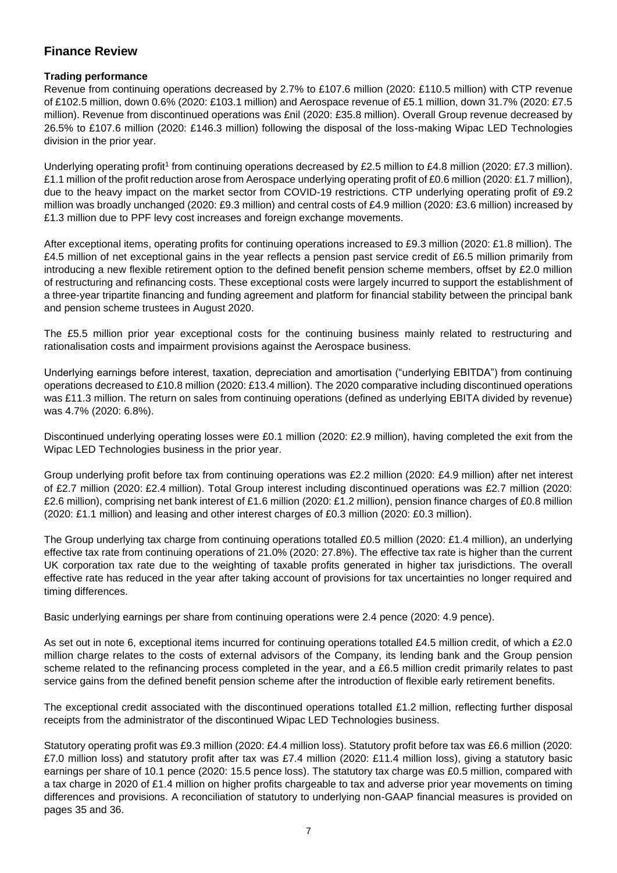# **Finance Review**

## **Trading performance**

Revenue from continuing operations decreased by 2.7% to £107.6 million (2020: £110.5 million) with CTP revenue of £102.5 million, down 0.6% (2020: £103.1 million) and Aerospace revenue of £5.1 million, down 31.7% (2020: £7.5 million). Revenue from discontinued operations was £nil (2020: £35.8 million). Overall Group revenue decreased by 26.5% to £107.6 million (2020: £146.3 million) following the disposal of the loss-making Wipac LED Technologies division in the prior year.

Underlying operating profit<sup>1</sup> from continuing operations decreased by £2.5 million to £4.8 million (2020: £7.3 million). £1.1 million of the profit reduction arose from Aerospace underlying operating profit of £0.6 million (2020: £1.7 million), due to the heavy impact on the market sector from COVID-19 restrictions. CTP underlying operating profit of £9.2 million was broadly unchanged (2020: £9.3 million) and central costs of £4.9 million (2020: £3.6 million) increased by £1.3 million due to PPF levy cost increases and foreign exchange movements.

After exceptional items, operating profits for continuing operations increased to £9.3 million (2020: £1.8 million). The £4.5 million of net exceptional gains in the year reflects a pension past service credit of £6.5 million primarily from introducing a new flexible retirement option to the defined benefit pension scheme members, offset by £2.0 million of restructuring and refinancing costs. These exceptional costs were largely incurred to support the establishment of a three-year tripartite financing and funding agreement and platform for financial stability between the principal bank and pension scheme trustees in August 2020.

The £5.5 million prior year exceptional costs for the continuing business mainly related to restructuring and rationalisation costs and impairment provisions against the Aerospace business.

Underlying earnings before interest, taxation, depreciation and amortisation ("underlying EBITDA") from continuing operations decreased to £10.8 million (2020: £13.4 million). The 2020 comparative including discontinued operations was £11.3 million. The return on sales from continuing operations (defined as underlying EBITA divided by revenue) was 4.7% (2020: 6.8%).

Discontinued underlying operating losses were £0.1 million (2020: £2.9 million), having completed the exit from the Wipac LED Technologies business in the prior year.

Group underlying profit before tax from continuing operations was £2.2 million (2020: £4.9 million) after net interest of £2.7 million (2020: £2.4 million). Total Group interest including discontinued operations was £2.7 million (2020: £2.6 million), comprising net bank interest of £1.6 million (2020: £1.2 million), pension finance charges of £0.8 million (2020: £1.1 million) and leasing and other interest charges of £0.3 million (2020: £0.3 million).

The Group underlying tax charge from continuing operations totalled £0.5 million (2020: £1.4 million), an underlying effective tax rate from continuing operations of 21.0% (2020: 27.8%). The effective tax rate is higher than the current UK corporation tax rate due to the weighting of taxable profits generated in higher tax jurisdictions. The overall effective rate has reduced in the year after taking account of provisions for tax uncertainties no longer required and timing differences.

Basic underlying earnings per share from continuing operations were 2.4 pence (2020: 4.9 pence).

As set out in note 6, exceptional items incurred for continuing operations totalled £4.5 million credit, of which a £2.0 million charge relates to the costs of external advisors of the Company, its lending bank and the Group pension scheme related to the refinancing process completed in the year, and a £6.5 million credit primarily relates to past service gains from the defined benefit pension scheme after the introduction of flexible early retirement benefits.

The exceptional credit associated with the discontinued operations totalled £1.2 million, reflecting further disposal receipts from the administrator of the discontinued Wipac LED Technologies business.

Statutory operating profit was £9.3 million (2020: £4.4 million loss). Statutory profit before tax was £6.6 million (2020: £7.0 million loss) and statutory profit after tax was £7.4 million (2020: £11.4 million loss), giving a statutory basic earnings per share of 10.1 pence (2020: 15.5 pence loss). The statutory tax charge was £0.5 million, compared with a tax charge in 2020 of £1.4 million on higher profits chargeable to tax and adverse prior year movements on timing differences and provisions. A reconciliation of statutory to underlying non-GAAP financial measures is provided on pages 35 and 36.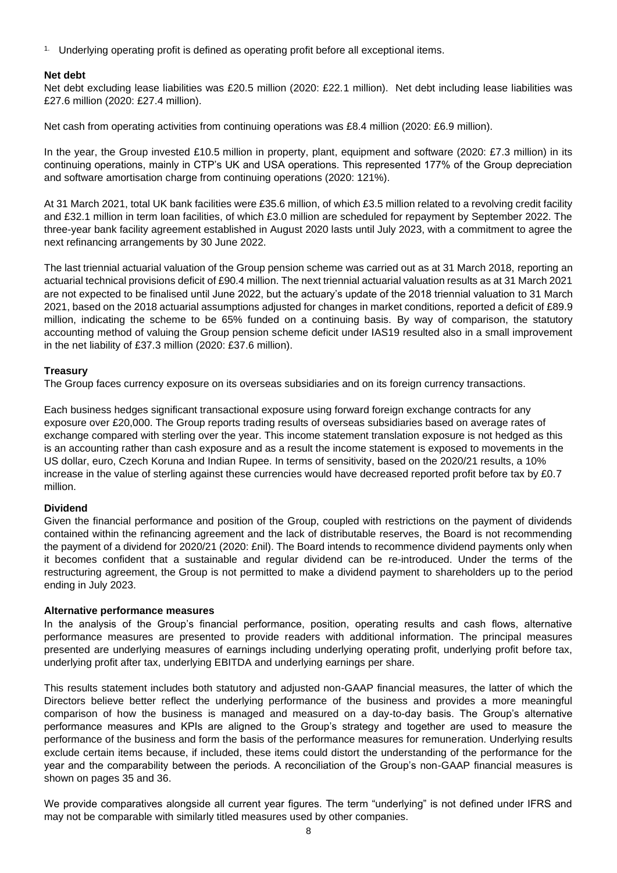<sup>1.</sup> Underlying operating profit is defined as operating profit before all exceptional items.

### **Net debt**

Net debt excluding lease liabilities was £20.5 million (2020: £22.1 million). Net debt including lease liabilities was £27.6 million (2020: £27.4 million).

Net cash from operating activities from continuing operations was £8.4 million (2020: £6.9 million).

In the year, the Group invested £10.5 million in property, plant, equipment and software (2020: £7.3 million) in its continuing operations, mainly in CTP's UK and USA operations. This represented 177% of the Group depreciation and software amortisation charge from continuing operations (2020: 121%).

At 31 March 2021, total UK bank facilities were £35.6 million, of which £3.5 million related to a revolving credit facility and £32.1 million in term loan facilities, of which £3.0 million are scheduled for repayment by September 2022. The three-year bank facility agreement established in August 2020 lasts until July 2023, with a commitment to agree the next refinancing arrangements by 30 June 2022.

The last triennial actuarial valuation of the Group pension scheme was carried out as at 31 March 2018, reporting an actuarial technical provisions deficit of £90.4 million. The next triennial actuarial valuation results as at 31 March 2021 are not expected to be finalised until June 2022, but the actuary's update of the 2018 triennial valuation to 31 March 2021, based on the 2018 actuarial assumptions adjusted for changes in market conditions, reported a deficit of £89.9 million, indicating the scheme to be 65% funded on a continuing basis. By way of comparison, the statutory accounting method of valuing the Group pension scheme deficit under IAS19 resulted also in a small improvement in the net liability of £37.3 million (2020: £37.6 million).

### **Treasury**

The Group faces currency exposure on its overseas subsidiaries and on its foreign currency transactions.

Each business hedges significant transactional exposure using forward foreign exchange contracts for any exposure over £20,000. The Group reports trading results of overseas subsidiaries based on average rates of exchange compared with sterling over the year. This income statement translation exposure is not hedged as this is an accounting rather than cash exposure and as a result the income statement is exposed to movements in the US dollar, euro, Czech Koruna and Indian Rupee. In terms of sensitivity, based on the 2020/21 results, a 10% increase in the value of sterling against these currencies would have decreased reported profit before tax by £0.7 million.

### **Dividend**

Given the financial performance and position of the Group, coupled with restrictions on the payment of dividends contained within the refinancing agreement and the lack of distributable reserves, the Board is not recommending the payment of a dividend for 2020/21 (2020: £nil). The Board intends to recommence dividend payments only when it becomes confident that a sustainable and regular dividend can be re-introduced. Under the terms of the restructuring agreement, the Group is not permitted to make a dividend payment to shareholders up to the period ending in July 2023.

### **Alternative performance measures**

In the analysis of the Group's financial performance, position, operating results and cash flows, alternative performance measures are presented to provide readers with additional information. The principal measures presented are underlying measures of earnings including underlying operating profit, underlying profit before tax, underlying profit after tax, underlying EBITDA and underlying earnings per share.

This results statement includes both statutory and adjusted non-GAAP financial measures, the latter of which the Directors believe better reflect the underlying performance of the business and provides a more meaningful comparison of how the business is managed and measured on a day-to-day basis. The Group's alternative performance measures and KPIs are aligned to the Group's strategy and together are used to measure the performance of the business and form the basis of the performance measures for remuneration. Underlying results exclude certain items because, if included, these items could distort the understanding of the performance for the year and the comparability between the periods. A reconciliation of the Group's non-GAAP financial measures is shown on pages 35 and 36.

We provide comparatives alongside all current year figures. The term "underlying" is not defined under IFRS and may not be comparable with similarly titled measures used by other companies.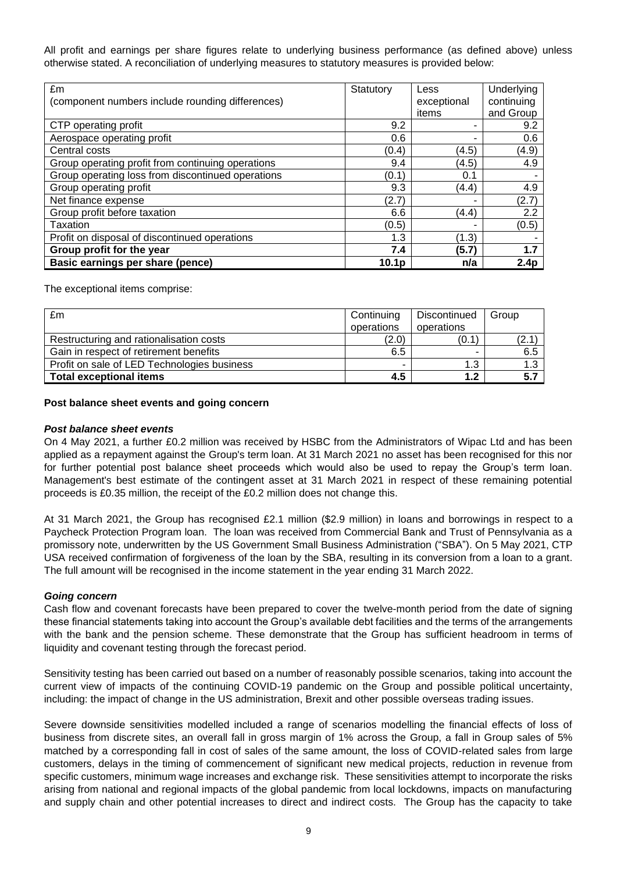All profit and earnings per share figures relate to underlying business performance (as defined above) unless otherwise stated. A reconciliation of underlying measures to statutory measures is provided below:

| £m                                                | Statutory         | Less        | Underlying       |
|---------------------------------------------------|-------------------|-------------|------------------|
| (component numbers include rounding differences)  |                   | exceptional | continuing       |
|                                                   |                   | items       | and Group        |
| CTP operating profit                              | 9.2               | -           | 9.2              |
| Aerospace operating profit                        | 0.6               | ۰           | 0.6              |
| Central costs                                     | (0.4)             | (4.5)       | (4.9)            |
| Group operating profit from continuing operations | 9.4               | (4.5)       | 4.9              |
| Group operating loss from discontinued operations | (0.1)             | 0.1         |                  |
| Group operating profit                            | 9.3               | (4.4)       | 4.9              |
| Net finance expense                               | (2.7)             |             | (2.7)            |
| Group profit before taxation                      | 6.6               | (4.4)       | 2.2              |
| Taxation                                          | (0.5)             |             | (0.5)            |
| Profit on disposal of discontinued operations     | 1.3               | (1.3)       |                  |
| Group profit for the year                         | 7.4               | (5.7)       | 1.7              |
| Basic earnings per share (pence)                  | 10.1 <sub>p</sub> | n/a         | 2.4 <sub>p</sub> |

The exceptional items comprise:

| £m                                          | Continuing<br>operations | Discontinued<br>operations | Group |
|---------------------------------------------|--------------------------|----------------------------|-------|
| Restructuring and rationalisation costs     | (2.0)                    | (0.1)                      | '2.1  |
| Gain in respect of retirement benefits      | 6.5                      | -                          | 6.5   |
| Profit on sale of LED Technologies business |                          | 1.3                        | 1.3   |
| <b>Total exceptional items</b>              | 4.5                      | 1.2                        | 5.7   |

### **Post balance sheet events and going concern**

### *Post balance sheet events*

On 4 May 2021, a further £0.2 million was received by HSBC from the Administrators of Wipac Ltd and has been applied as a repayment against the Group's term loan. At 31 March 2021 no asset has been recognised for this nor for further potential post balance sheet proceeds which would also be used to repay the Group's term loan. Management's best estimate of the contingent asset at 31 March 2021 in respect of these remaining potential proceeds is £0.35 million, the receipt of the £0.2 million does not change this.

At 31 March 2021, the Group has recognised £2.1 million (\$2.9 million) in loans and borrowings in respect to a Paycheck Protection Program loan. The loan was received from Commercial Bank and Trust of Pennsylvania as a promissory note, underwritten by the US Government Small Business Administration ("SBA"). On 5 May 2021, CTP USA received confirmation of forgiveness of the loan by the SBA, resulting in its conversion from a loan to a grant. The full amount will be recognised in the income statement in the year ending 31 March 2022.

### *Going concern*

Cash flow and covenant forecasts have been prepared to cover the twelve-month period from the date of signing these financial statements taking into account the Group's available debt facilities and the terms of the arrangements with the bank and the pension scheme. These demonstrate that the Group has sufficient headroom in terms of liquidity and covenant testing through the forecast period.

Sensitivity testing has been carried out based on a number of reasonably possible scenarios, taking into account the current view of impacts of the continuing COVID-19 pandemic on the Group and possible political uncertainty, including: the impact of change in the US administration, Brexit and other possible overseas trading issues.

Severe downside sensitivities modelled included a range of scenarios modelling the financial effects of loss of business from discrete sites, an overall fall in gross margin of 1% across the Group, a fall in Group sales of 5% matched by a corresponding fall in cost of sales of the same amount, the loss of COVID-related sales from large customers, delays in the timing of commencement of significant new medical projects, reduction in revenue from specific customers, minimum wage increases and exchange risk. These sensitivities attempt to incorporate the risks arising from national and regional impacts of the global pandemic from local lockdowns, impacts on manufacturing and supply chain and other potential increases to direct and indirect costs. The Group has the capacity to take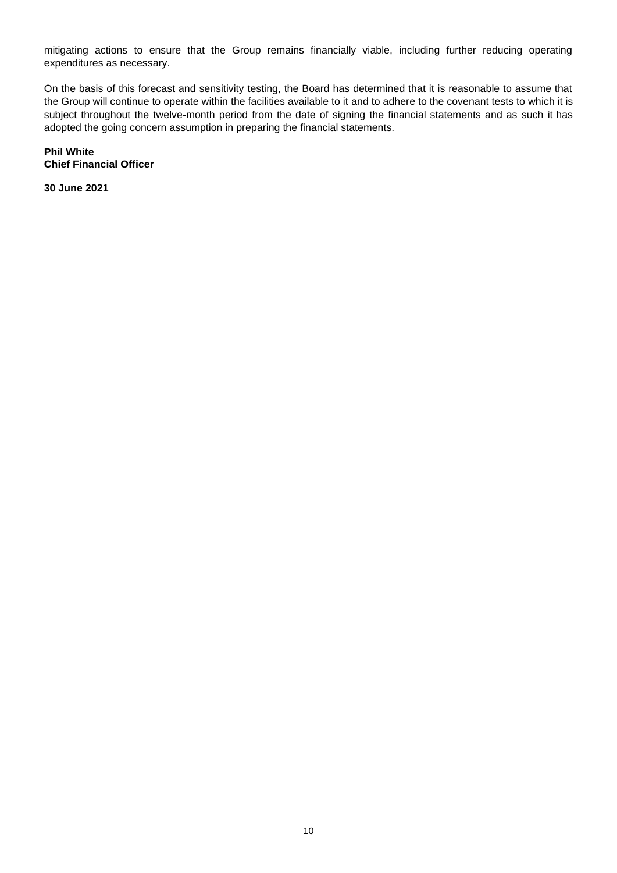mitigating actions to ensure that the Group remains financially viable, including further reducing operating expenditures as necessary.

On the basis of this forecast and sensitivity testing, the Board has determined that it is reasonable to assume that the Group will continue to operate within the facilities available to it and to adhere to the covenant tests to which it is subject throughout the twelve-month period from the date of signing the financial statements and as such it has adopted the going concern assumption in preparing the financial statements.

**Phil White Chief Financial Officer**

**30 June 2021**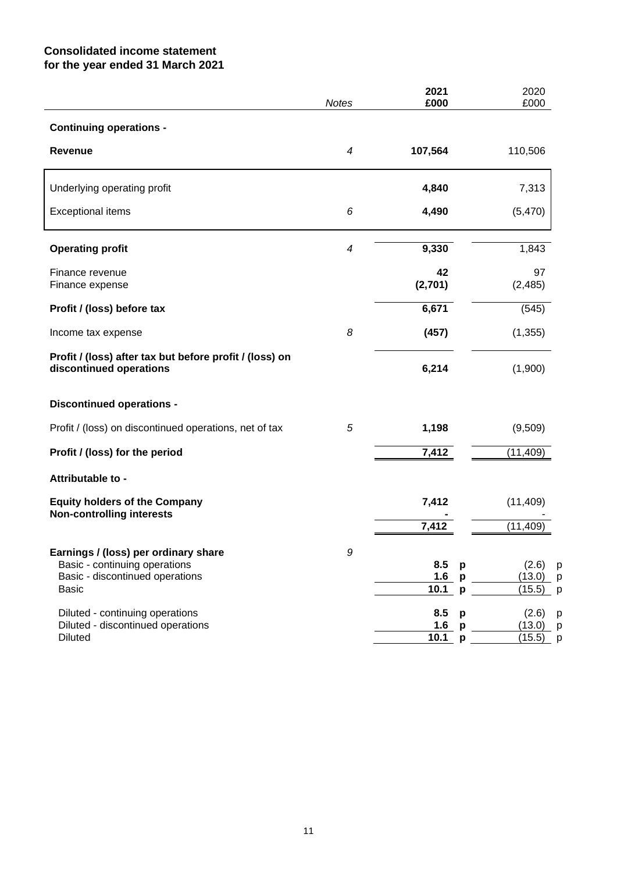# **Consolidated income statement for the year ended 31 March 2021**

|                                                                                                                          | <b>Notes</b> | 2021<br>£000                      | 2020<br>£000                             |
|--------------------------------------------------------------------------------------------------------------------------|--------------|-----------------------------------|------------------------------------------|
| <b>Continuing operations -</b>                                                                                           |              |                                   |                                          |
| <b>Revenue</b>                                                                                                           | 4            | 107,564                           | 110,506                                  |
| Underlying operating profit                                                                                              |              | 4,840                             | 7,313                                    |
| <b>Exceptional items</b>                                                                                                 | 6            | 4,490                             | (5,470)                                  |
| <b>Operating profit</b>                                                                                                  | 4            | 9,330                             | 1,843                                    |
| Finance revenue<br>Finance expense                                                                                       |              | 42<br>(2,701)                     | 97<br>(2, 485)                           |
| Profit / (loss) before tax                                                                                               |              | 6,671                             | (545)                                    |
| Income tax expense                                                                                                       | 8            | (457)                             | (1, 355)                                 |
| Profit / (loss) after tax but before profit / (loss) on<br>discontinued operations                                       |              | 6,214                             | (1,900)                                  |
| <b>Discontinued operations -</b>                                                                                         |              |                                   |                                          |
| Profit / (loss) on discontinued operations, net of tax                                                                   | 5            | 1,198                             | (9,509)                                  |
| Profit / (loss) for the period                                                                                           |              | 7,412                             | (11, 409)                                |
| Attributable to -                                                                                                        |              |                                   |                                          |
| <b>Equity holders of the Company</b><br><b>Non-controlling interests</b>                                                 |              | 7,412                             | (11, 409)                                |
|                                                                                                                          |              | 7,412                             | (11, 409)                                |
| Earnings / (loss) per ordinary share<br>Basic - continuing operations<br>Basic - discontinued operations<br><b>Basic</b> | 9            | 8.5<br>p<br>1.6<br>p<br>10.1<br>p | (2.6)<br>р<br>(13.0)<br>(15.5)<br>р      |
| Diluted - continuing operations<br>Diluted - discontinued operations<br><b>Diluted</b>                                   |              | 8.5<br>p<br>1.6<br>p<br>10.1<br>p | (2.6)<br>р<br>(13.0)<br>р<br>(15.5)<br>p |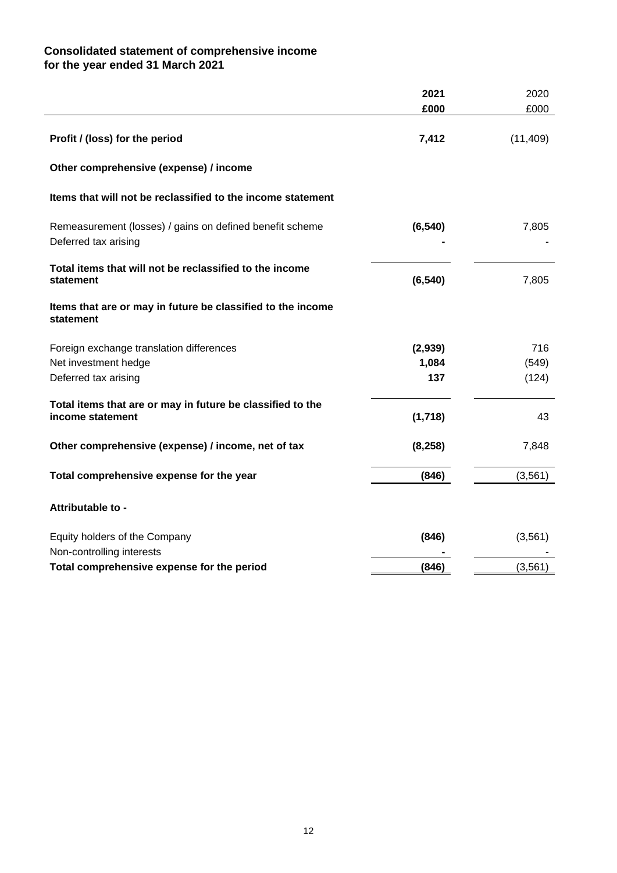# **Consolidated statement of comprehensive income for the year ended 31 March 2021**

|                                                                                  | £000     | £000      |
|----------------------------------------------------------------------------------|----------|-----------|
| Profit / (loss) for the period                                                   | 7,412    | (11, 409) |
| Other comprehensive (expense) / income                                           |          |           |
| Items that will not be reclassified to the income statement                      |          |           |
| Remeasurement (losses) / gains on defined benefit scheme<br>Deferred tax arising | (6, 540) | 7,805     |
| Total items that will not be reclassified to the income<br>statement             | (6, 540) | 7,805     |
| Items that are or may in future be classified to the income<br>statement         |          |           |
| Foreign exchange translation differences                                         | (2,939)  | 716       |
| Net investment hedge                                                             | 1,084    | (549)     |
| Deferred tax arising                                                             | 137      | (124)     |
| Total items that are or may in future be classified to the<br>income statement   | (1,718)  | 43        |
| Other comprehensive (expense) / income, net of tax                               | (8, 258) | 7,848     |
| Total comprehensive expense for the year                                         | (846)    | (3, 561)  |
| Attributable to -                                                                |          |           |
| Equity holders of the Company<br>Non-controlling interests                       | (846)    | (3, 561)  |
| Total comprehensive expense for the period                                       | (846)    | (3, 561)  |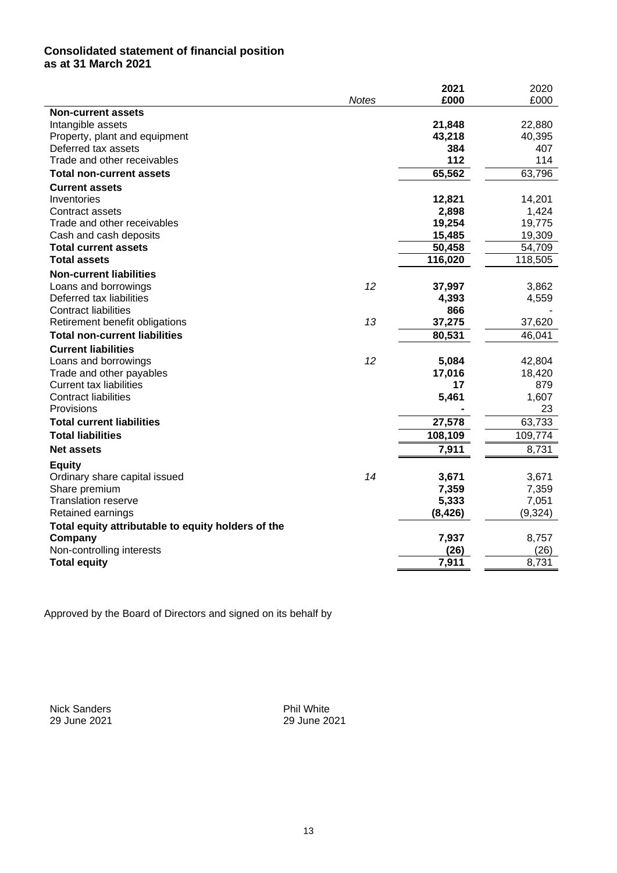## **Consolidated statement of financial position as at 31 March 2021**

|                                                    |              | 2021     | 2020     |
|----------------------------------------------------|--------------|----------|----------|
|                                                    | <b>Notes</b> | £000     | £000     |
| <b>Non-current assets</b>                          |              |          |          |
| Intangible assets                                  |              | 21,848   | 22,880   |
| Property, plant and equipment                      |              | 43,218   | 40,395   |
| Deferred tax assets                                |              | 384      | 407      |
| Trade and other receivables                        |              | 112      | 114      |
| <b>Total non-current assets</b>                    |              | 65,562   | 63,796   |
| <b>Current assets</b>                              |              |          |          |
| Inventories                                        |              | 12,821   | 14,201   |
| Contract assets                                    |              | 2,898    | 1,424    |
| Trade and other receivables                        |              | 19,254   | 19,775   |
| Cash and cash deposits                             |              | 15,485   | 19,309   |
| <b>Total current assets</b>                        |              | 50,458   | 54,709   |
| <b>Total assets</b>                                |              | 116,020  | 118,505  |
| <b>Non-current liabilities</b>                     |              |          |          |
| Loans and borrowings                               | 12           | 37,997   | 3,862    |
| Deferred tax liabilities                           |              | 4,393    | 4,559    |
| <b>Contract liabilities</b>                        |              | 866      |          |
| Retirement benefit obligations                     | 13           | 37,275   | 37,620   |
| <b>Total non-current liabilities</b>               |              | 80,531   | 46,041   |
| <b>Current liabilities</b>                         |              |          |          |
| Loans and borrowings                               | 12           | 5,084    | 42,804   |
| Trade and other payables                           |              | 17,016   | 18,420   |
| <b>Current tax liabilities</b>                     |              | 17       | 879      |
| <b>Contract liabilities</b>                        |              | 5,461    | 1,607    |
| Provisions                                         |              |          | 23       |
| <b>Total current liabilities</b>                   |              | 27,578   | 63,733   |
| <b>Total liabilities</b>                           |              | 108,109  | 109,774  |
| <b>Net assets</b>                                  |              | 7,911    | 8,731    |
| <b>Equity</b>                                      |              |          |          |
| Ordinary share capital issued                      | 14           | 3,671    | 3,671    |
| Share premium                                      |              | 7,359    | 7,359    |
| <b>Translation reserve</b>                         |              | 5,333    | 7,051    |
| Retained earnings                                  |              | (8, 426) | (9, 324) |
| Total equity attributable to equity holders of the |              |          |          |
| Company                                            |              | 7,937    | 8,757    |
| Non-controlling interests                          |              | (26)     | (26)     |
| <b>Total equity</b>                                |              | 7,911    | 8,731    |
|                                                    |              |          |          |

Approved by the Board of Directors and signed on its behalf by

Nick Sanders Phil White

29 June 2021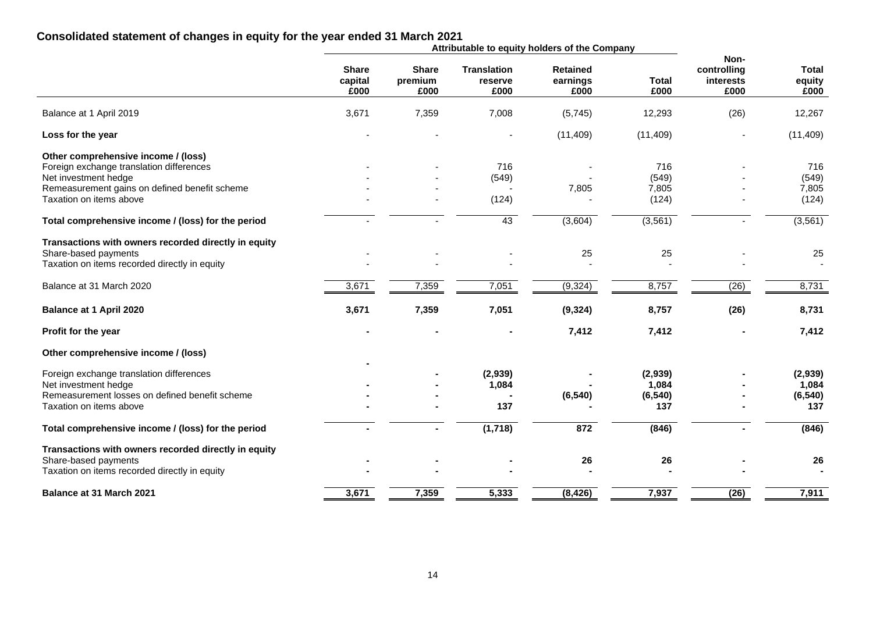## **Consolidated statement of changes in equity for the year ended 31 March 2021**

|                                                      |                                 |                                 |                                       | Attributable to equity holders of the Company |                      |                                          |                                |
|------------------------------------------------------|---------------------------------|---------------------------------|---------------------------------------|-----------------------------------------------|----------------------|------------------------------------------|--------------------------------|
|                                                      | <b>Share</b><br>capital<br>£000 | <b>Share</b><br>premium<br>£000 | <b>Translation</b><br>reserve<br>£000 | <b>Retained</b><br>earnings<br>£000           | <b>Total</b><br>£000 | Non-<br>controlling<br>interests<br>£000 | <b>Total</b><br>equity<br>£000 |
| Balance at 1 April 2019                              | 3,671                           | 7,359                           | 7,008                                 | (5,745)                                       | 12,293               | (26)                                     | 12,267                         |
| Loss for the year                                    |                                 |                                 |                                       | (11, 409)                                     | (11, 409)            |                                          | (11, 409)                      |
| Other comprehensive income / (loss)                  |                                 |                                 |                                       |                                               |                      |                                          |                                |
| Foreign exchange translation differences             |                                 |                                 | 716                                   |                                               | 716                  |                                          | 716                            |
| Net investment hedge                                 |                                 |                                 | (549)                                 |                                               | (549)                |                                          | (549)                          |
| Remeasurement gains on defined benefit scheme        |                                 |                                 |                                       | 7,805                                         | 7,805                |                                          | 7,805                          |
| Taxation on items above                              |                                 |                                 | (124)                                 |                                               | (124)                |                                          | (124)                          |
| Total comprehensive income / (loss) for the period   |                                 |                                 | 43                                    | (3,604)                                       | (3, 561)             |                                          | (3, 561)                       |
| Transactions with owners recorded directly in equity |                                 |                                 |                                       |                                               |                      |                                          |                                |
| Share-based payments                                 |                                 |                                 |                                       | 25                                            | 25                   |                                          | 25                             |
| Taxation on items recorded directly in equity        |                                 |                                 |                                       |                                               |                      |                                          |                                |
| Balance at 31 March 2020                             | 3,671                           | 7,359                           | 7,051                                 | (9, 324)                                      | 8,757                | (26)                                     | 8,731                          |
| <b>Balance at 1 April 2020</b>                       | 3,671                           | 7,359                           | 7,051                                 | (9, 324)                                      | 8,757                | (26)                                     | 8,731                          |
| Profit for the year                                  |                                 |                                 |                                       | 7,412                                         | 7,412                |                                          | 7,412                          |
| Other comprehensive income / (loss)                  |                                 |                                 |                                       |                                               |                      |                                          |                                |
| Foreign exchange translation differences             |                                 |                                 | (2,939)                               |                                               | (2,939)              |                                          | (2,939)                        |
| Net investment hedge                                 |                                 |                                 | 1,084                                 |                                               | 1,084                |                                          | 1,084                          |
| Remeasurement losses on defined benefit scheme       |                                 |                                 |                                       | (6, 540)                                      | (6, 540)             |                                          | (6, 540)                       |
| Taxation on items above                              |                                 |                                 | 137                                   |                                               | 137                  |                                          | 137                            |
| Total comprehensive income / (loss) for the period   |                                 | ٠.                              | (1,718)                               | 872                                           | (846)                |                                          | (846)                          |
| Transactions with owners recorded directly in equity |                                 |                                 |                                       |                                               |                      |                                          |                                |
| Share-based payments                                 |                                 |                                 |                                       | 26                                            | 26                   |                                          | 26                             |
| Taxation on items recorded directly in equity        |                                 |                                 |                                       |                                               |                      |                                          |                                |
| <b>Balance at 31 March 2021</b>                      | 3,671                           | 7,359                           | 5,333                                 | (8, 426)                                      | 7,937                | (26)                                     | 7,911                          |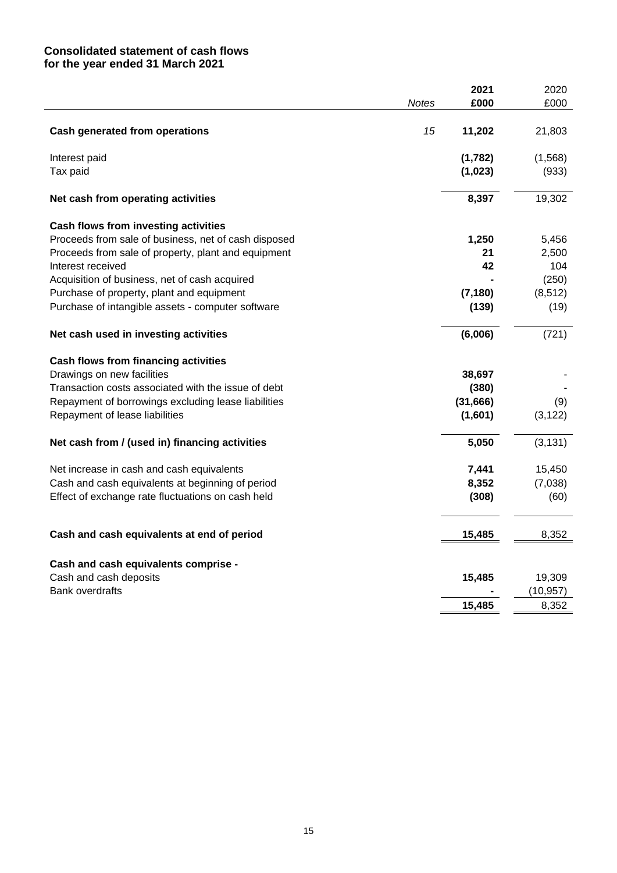# **Consolidated statement of cash flows for the year ended 31 March 2021**

|                                                      |              | 2021     | 2020      |
|------------------------------------------------------|--------------|----------|-----------|
|                                                      | <b>Notes</b> | £000     | £000      |
| <b>Cash generated from operations</b>                | 15           | 11,202   | 21,803    |
| Interest paid                                        |              | (1,782)  | (1,568)   |
| Tax paid                                             |              | (1,023)  | (933)     |
| Net cash from operating activities                   |              | 8,397    | 19,302    |
| Cash flows from investing activities                 |              |          |           |
| Proceeds from sale of business, net of cash disposed |              | 1,250    | 5,456     |
| Proceeds from sale of property, plant and equipment  |              | 21       | 2,500     |
| Interest received                                    |              | 42       | 104       |
| Acquisition of business, net of cash acquired        |              |          | (250)     |
| Purchase of property, plant and equipment            |              | (7, 180) | (8, 512)  |
| Purchase of intangible assets - computer software    |              | (139)    | (19)      |
| Net cash used in investing activities                |              | (6,006)  | (721)     |
| <b>Cash flows from financing activities</b>          |              |          |           |
| Drawings on new facilities                           |              | 38,697   |           |
| Transaction costs associated with the issue of debt  |              | (380)    |           |
| Repayment of borrowings excluding lease liabilities  |              | (31,666) | (9)       |
| Repayment of lease liabilities                       |              | (1,601)  | (3, 122)  |
| Net cash from / (used in) financing activities       |              | 5,050    | (3, 131)  |
| Net increase in cash and cash equivalents            |              | 7,441    | 15,450    |
| Cash and cash equivalents at beginning of period     |              | 8,352    | (7,038)   |
| Effect of exchange rate fluctuations on cash held    |              | (308)    | (60)      |
| Cash and cash equivalents at end of period           |              | 15,485   | 8,352     |
|                                                      |              |          |           |
| Cash and cash equivalents comprise -                 |              |          |           |
| Cash and cash deposits                               |              | 15,485   | 19,309    |
| <b>Bank overdrafts</b>                               |              |          | (10, 957) |
|                                                      |              | 15,485   | 8,352     |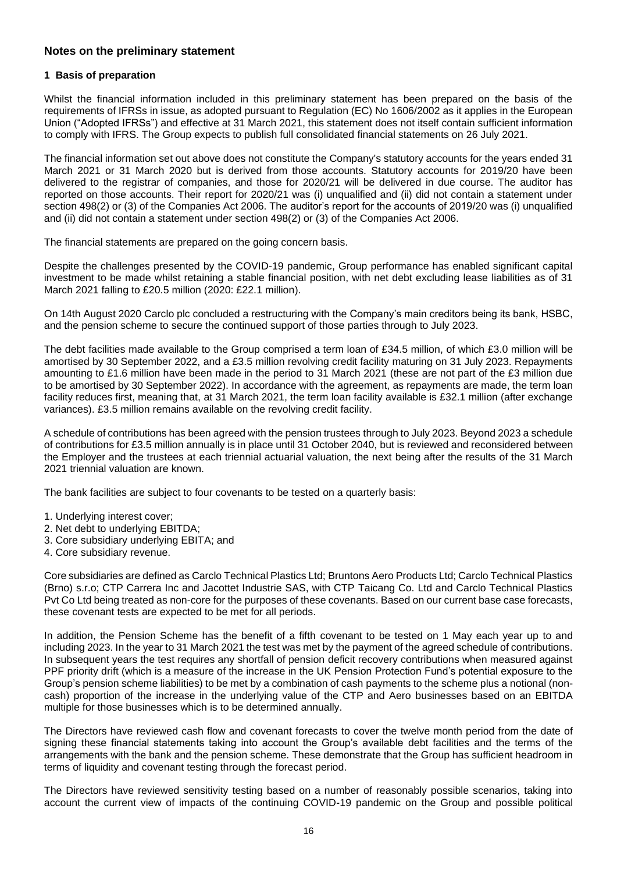# **Notes on the preliminary statement**

### **1 Basis of preparation**

Whilst the financial information included in this preliminary statement has been prepared on the basis of the requirements of IFRSs in issue, as adopted pursuant to Regulation (EC) No 1606/2002 as it applies in the European Union ("Adopted IFRSs") and effective at 31 March 2021, this statement does not itself contain sufficient information to comply with IFRS. The Group expects to publish full consolidated financial statements on 26 July 2021.

The financial information set out above does not constitute the Company's statutory accounts for the years ended 31 March 2021 or 31 March 2020 but is derived from those accounts. Statutory accounts for 2019/20 have been delivered to the registrar of companies, and those for 2020/21 will be delivered in due course. The auditor has reported on those accounts. Their report for 2020/21 was (i) unqualified and (ii) did not contain a statement under section 498(2) or (3) of the Companies Act 2006. The auditor's report for the accounts of 2019/20 was (i) unqualified and (ii) did not contain a statement under section 498(2) or (3) of the Companies Act 2006.

The financial statements are prepared on the going concern basis.

Despite the challenges presented by the COVID-19 pandemic, Group performance has enabled significant capital investment to be made whilst retaining a stable financial position, with net debt excluding lease liabilities as of 31 March 2021 falling to £20.5 million (2020: £22.1 million).

On 14th August 2020 Carclo plc concluded a restructuring with the Company's main creditors being its bank, HSBC, and the pension scheme to secure the continued support of those parties through to July 2023.

The debt facilities made available to the Group comprised a term loan of £34.5 million, of which £3.0 million will be amortised by 30 September 2022, and a £3.5 million revolving credit facility maturing on 31 July 2023. Repayments amounting to £1.6 million have been made in the period to 31 March 2021 (these are not part of the £3 million due to be amortised by 30 September 2022). In accordance with the agreement, as repayments are made, the term loan facility reduces first, meaning that, at 31 March 2021, the term loan facility available is £32.1 million (after exchange variances). £3.5 million remains available on the revolving credit facility.

A schedule of contributions has been agreed with the pension trustees through to July 2023. Beyond 2023 a schedule of contributions for £3.5 million annually is in place until 31 October 2040, but is reviewed and reconsidered between the Employer and the trustees at each triennial actuarial valuation, the next being after the results of the 31 March 2021 triennial valuation are known.

The bank facilities are subject to four covenants to be tested on a quarterly basis:

- 1. Underlying interest cover;
- 2. Net debt to underlying EBITDA;
- 3. Core subsidiary underlying EBITA; and
- 4. Core subsidiary revenue.

Core subsidiaries are defined as Carclo Technical Plastics Ltd; Bruntons Aero Products Ltd; Carclo Technical Plastics (Brno) s.r.o; CTP Carrera Inc and Jacottet Industrie SAS, with CTP Taicang Co. Ltd and Carclo Technical Plastics Pvt Co Ltd being treated as non-core for the purposes of these covenants. Based on our current base case forecasts, these covenant tests are expected to be met for all periods.

In addition, the Pension Scheme has the benefit of a fifth covenant to be tested on 1 May each year up to and including 2023. In the year to 31 March 2021 the test was met by the payment of the agreed schedule of contributions. In subsequent years the test requires any shortfall of pension deficit recovery contributions when measured against PPF priority drift (which is a measure of the increase in the UK Pension Protection Fund's potential exposure to the Group's pension scheme liabilities) to be met by a combination of cash payments to the scheme plus a notional (noncash) proportion of the increase in the underlying value of the CTP and Aero businesses based on an EBITDA multiple for those businesses which is to be determined annually.

The Directors have reviewed cash flow and covenant forecasts to cover the twelve month period from the date of signing these financial statements taking into account the Group's available debt facilities and the terms of the arrangements with the bank and the pension scheme. These demonstrate that the Group has sufficient headroom in terms of liquidity and covenant testing through the forecast period.

The Directors have reviewed sensitivity testing based on a number of reasonably possible scenarios, taking into account the current view of impacts of the continuing COVID-19 pandemic on the Group and possible political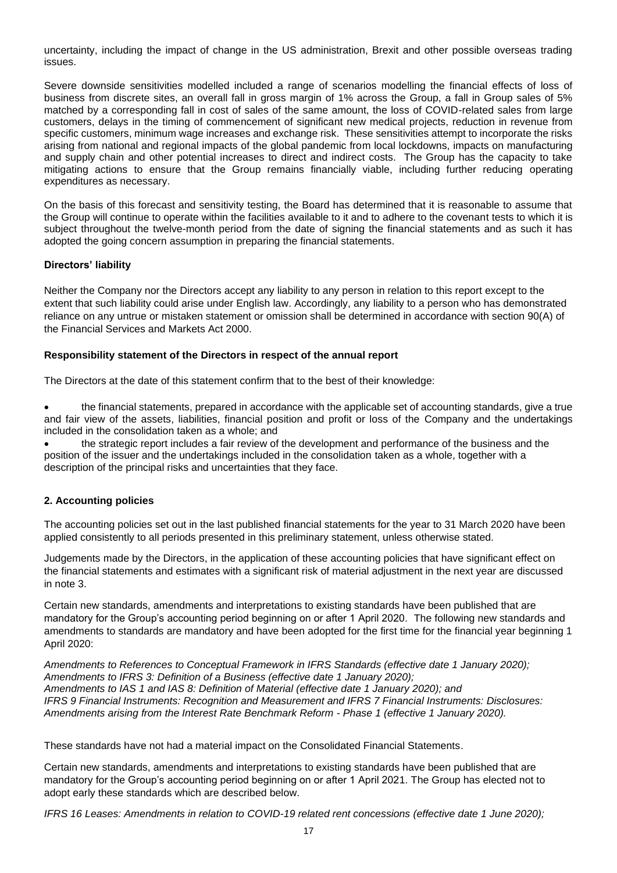uncertainty, including the impact of change in the US administration, Brexit and other possible overseas trading issues.

Severe downside sensitivities modelled included a range of scenarios modelling the financial effects of loss of business from discrete sites, an overall fall in gross margin of 1% across the Group, a fall in Group sales of 5% matched by a corresponding fall in cost of sales of the same amount, the loss of COVID-related sales from large customers, delays in the timing of commencement of significant new medical projects, reduction in revenue from specific customers, minimum wage increases and exchange risk. These sensitivities attempt to incorporate the risks arising from national and regional impacts of the global pandemic from local lockdowns, impacts on manufacturing and supply chain and other potential increases to direct and indirect costs. The Group has the capacity to take mitigating actions to ensure that the Group remains financially viable, including further reducing operating expenditures as necessary.

On the basis of this forecast and sensitivity testing, the Board has determined that it is reasonable to assume that the Group will continue to operate within the facilities available to it and to adhere to the covenant tests to which it is subject throughout the twelve-month period from the date of signing the financial statements and as such it has adopted the going concern assumption in preparing the financial statements.

### **Directors' liability**

Neither the Company nor the Directors accept any liability to any person in relation to this report except to the extent that such liability could arise under English law. Accordingly, any liability to a person who has demonstrated reliance on any untrue or mistaken statement or omission shall be determined in accordance with section 90(A) of the Financial Services and Markets Act 2000.

### **Responsibility statement of the Directors in respect of the annual report**

The Directors at the date of this statement confirm that to the best of their knowledge:

• the financial statements, prepared in accordance with the applicable set of accounting standards, give a true and fair view of the assets, liabilities, financial position and profit or loss of the Company and the undertakings included in the consolidation taken as a whole; and

• the strategic report includes a fair review of the development and performance of the business and the position of the issuer and the undertakings included in the consolidation taken as a whole, together with a description of the principal risks and uncertainties that they face.

### **2. Accounting policies**

The accounting policies set out in the last published financial statements for the year to 31 March 2020 have been applied consistently to all periods presented in this preliminary statement, unless otherwise stated.

Judgements made by the Directors, in the application of these accounting policies that have significant effect on the financial statements and estimates with a significant risk of material adjustment in the next year are discussed in note 3.

Certain new standards, amendments and interpretations to existing standards have been published that are mandatory for the Group's accounting period beginning on or after 1 April 2020. The following new standards and amendments to standards are mandatory and have been adopted for the first time for the financial year beginning 1 April 2020:

*Amendments to References to Conceptual Framework in IFRS Standards (effective date 1 January 2020); Amendments to IFRS 3: Definition of a Business (effective date 1 January 2020); Amendments to IAS 1 and IAS 8: Definition of Material (effective date 1 January 2020); and IFRS 9 Financial Instruments: Recognition and Measurement and IFRS 7 Financial Instruments: Disclosures: Amendments arising from the Interest Rate Benchmark Reform - Phase 1 (effective 1 January 2020).*

These standards have not had a material impact on the Consolidated Financial Statements.

Certain new standards, amendments and interpretations to existing standards have been published that are mandatory for the Group's accounting period beginning on or after 1 April 2021. The Group has elected not to adopt early these standards which are described below.

*IFRS 16 Leases: Amendments in relation to COVID-19 related rent concessions (effective date 1 June 2020);*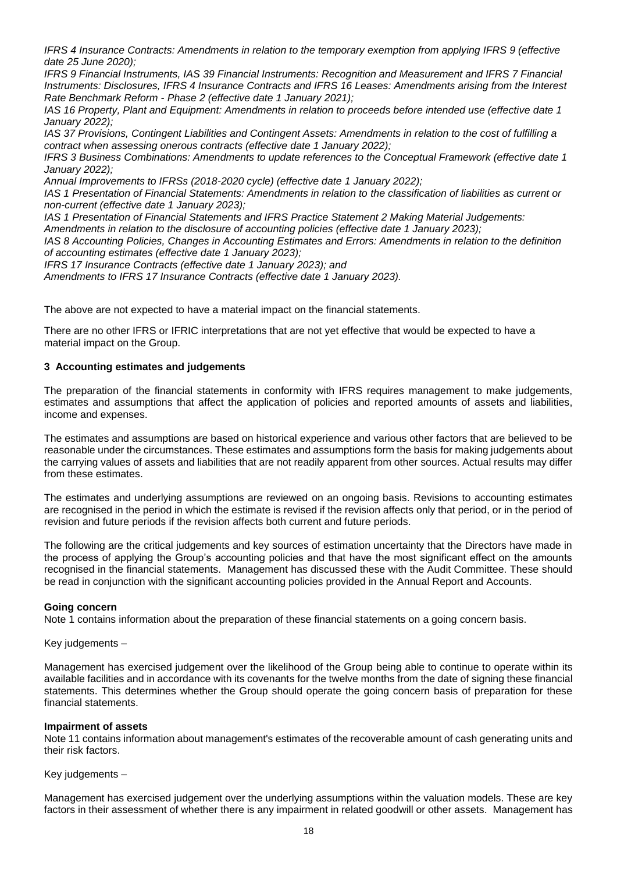*IFRS 4 Insurance Contracts: Amendments in relation to the temporary exemption from applying IFRS 9 (effective date 25 June 2020);*

*IFRS 9 Financial Instruments, IAS 39 Financial Instruments: Recognition and Measurement and IFRS 7 Financial Instruments: Disclosures, IFRS 4 Insurance Contracts and IFRS 16 Leases: Amendments arising from the Interest Rate Benchmark Reform - Phase 2 (effective date 1 January 2021);*

*IAS 16 Property, Plant and Equipment: Amendments in relation to proceeds before intended use (effective date 1 January 2022);*

*IAS 37 Provisions, Contingent Liabilities and Contingent Assets: Amendments in relation to the cost of fulfilling a contract when assessing onerous contracts (effective date 1 January 2022);*

*IFRS 3 Business Combinations: Amendments to update references to the Conceptual Framework (effective date 1 January 2022);*

*Annual Improvements to IFRSs (2018-2020 cycle) (effective date 1 January 2022);*

*IAS 1 Presentation of Financial Statements: Amendments in relation to the classification of liabilities as current or non-current (effective date 1 January 2023);*

*IAS 1 Presentation of Financial Statements and IFRS Practice Statement 2 Making Material Judgements:* 

*Amendments in relation to the disclosure of accounting policies (effective date 1 January 2023);*

*IAS 8 Accounting Policies, Changes in Accounting Estimates and Errors: Amendments in relation to the definition of accounting estimates (effective date 1 January 2023);*

*IFRS 17 Insurance Contracts (effective date 1 January 2023); and*

*Amendments to IFRS 17 Insurance Contracts (effective date 1 January 2023).*

The above are not expected to have a material impact on the financial statements.

There are no other IFRS or IFRIC interpretations that are not yet effective that would be expected to have a material impact on the Group.

### **3 Accounting estimates and judgements**

The preparation of the financial statements in conformity with IFRS requires management to make judgements, estimates and assumptions that affect the application of policies and reported amounts of assets and liabilities, income and expenses.

The estimates and assumptions are based on historical experience and various other factors that are believed to be reasonable under the circumstances. These estimates and assumptions form the basis for making judgements about the carrying values of assets and liabilities that are not readily apparent from other sources. Actual results may differ from these estimates.

The estimates and underlying assumptions are reviewed on an ongoing basis. Revisions to accounting estimates are recognised in the period in which the estimate is revised if the revision affects only that period, or in the period of revision and future periods if the revision affects both current and future periods.

The following are the critical judgements and key sources of estimation uncertainty that the Directors have made in the process of applying the Group's accounting policies and that have the most significant effect on the amounts recognised in the financial statements. Management has discussed these with the Audit Committee. These should be read in conjunction with the significant accounting policies provided in the Annual Report and Accounts.

### **Going concern**

Note 1 contains information about the preparation of these financial statements on a going concern basis.

### Key judgements –

Management has exercised judgement over the likelihood of the Group being able to continue to operate within its available facilities and in accordance with its covenants for the twelve months from the date of signing these financial statements. This determines whether the Group should operate the going concern basis of preparation for these financial statements.

### **Impairment of assets**

Note 11 contains information about management's estimates of the recoverable amount of cash generating units and their risk factors.

### Key judgements –

Management has exercised judgement over the underlying assumptions within the valuation models. These are key factors in their assessment of whether there is any impairment in related goodwill or other assets. Management has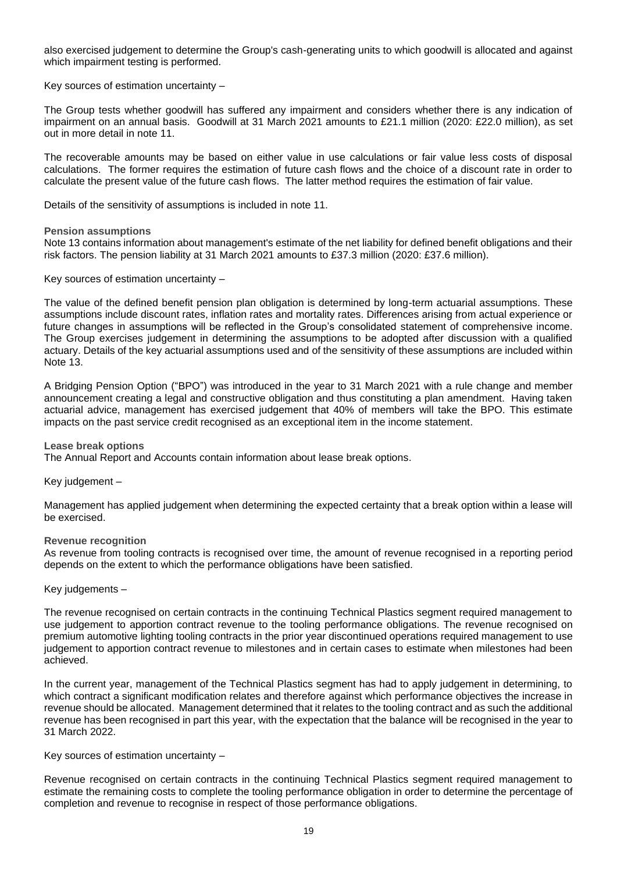also exercised judgement to determine the Group's cash-generating units to which goodwill is allocated and against which impairment testing is performed.

Key sources of estimation uncertainty –

The Group tests whether goodwill has suffered any impairment and considers whether there is any indication of impairment on an annual basis. Goodwill at 31 March 2021 amounts to £21.1 million (2020: £22.0 million), as set out in more detail in note 11.

The recoverable amounts may be based on either value in use calculations or fair value less costs of disposal calculations. The former requires the estimation of future cash flows and the choice of a discount rate in order to calculate the present value of the future cash flows. The latter method requires the estimation of fair value.

Details of the sensitivity of assumptions is included in note 11.

### **Pension assumptions**

Note 13 contains information about management's estimate of the net liability for defined benefit obligations and their risk factors. The pension liability at 31 March 2021 amounts to £37.3 million (2020: £37.6 million).

Key sources of estimation uncertainty –

The value of the defined benefit pension plan obligation is determined by long-term actuarial assumptions. These assumptions include discount rates, inflation rates and mortality rates. Differences arising from actual experience or future changes in assumptions will be reflected in the Group's consolidated statement of comprehensive income. The Group exercises judgement in determining the assumptions to be adopted after discussion with a qualified actuary. Details of the key actuarial assumptions used and of the sensitivity of these assumptions are included within Note 13.

A Bridging Pension Option ("BPO") was introduced in the year to 31 March 2021 with a rule change and member announcement creating a legal and constructive obligation and thus constituting a plan amendment. Having taken actuarial advice, management has exercised judgement that 40% of members will take the BPO. This estimate impacts on the past service credit recognised as an exceptional item in the income statement.

### **Lease break options**

The Annual Report and Accounts contain information about lease break options.

Key judgement –

Management has applied judgement when determining the expected certainty that a break option within a lease will be exercised.

#### **Revenue recognition**

As revenue from tooling contracts is recognised over time, the amount of revenue recognised in a reporting period depends on the extent to which the performance obligations have been satisfied.

### Key judgements –

The revenue recognised on certain contracts in the continuing Technical Plastics segment required management to use judgement to apportion contract revenue to the tooling performance obligations. The revenue recognised on premium automotive lighting tooling contracts in the prior year discontinued operations required management to use judgement to apportion contract revenue to milestones and in certain cases to estimate when milestones had been achieved.

In the current year, management of the Technical Plastics segment has had to apply judgement in determining, to which contract a significant modification relates and therefore against which performance objectives the increase in revenue should be allocated. Management determined that it relates to the tooling contract and as such the additional revenue has been recognised in part this year, with the expectation that the balance will be recognised in the year to 31 March 2022.

### Key sources of estimation uncertainty –

Revenue recognised on certain contracts in the continuing Technical Plastics segment required management to estimate the remaining costs to complete the tooling performance obligation in order to determine the percentage of completion and revenue to recognise in respect of those performance obligations.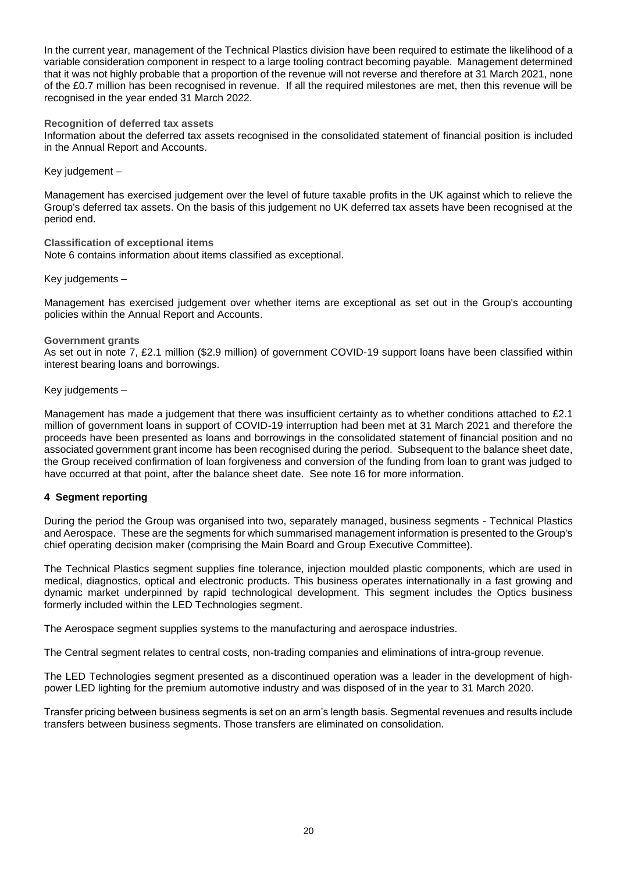In the current year, management of the Technical Plastics division have been required to estimate the likelihood of a variable consideration component in respect to a large tooling contract becoming payable. Management determined that it was not highly probable that a proportion of the revenue will not reverse and therefore at 31 March 2021, none of the £0.7 million has been recognised in revenue. If all the required milestones are met, then this revenue will be recognised in the year ended 31 March 2022.

### **Recognition of deferred tax assets**

Information about the deferred tax assets recognised in the consolidated statement of financial position is included in the Annual Report and Accounts.

Key judgement –

Management has exercised judgement over the level of future taxable profits in the UK against which to relieve the Group's deferred tax assets. On the basis of this judgement no UK deferred tax assets have been recognised at the period end.

## **Classification of exceptional items**

Note 6 contains information about items classified as exceptional.

Key judgements –

Management has exercised judgement over whether items are exceptional as set out in the Group's accounting policies within the Annual Report and Accounts.

### **Government grants**

As set out in note 7, £2.1 million (\$2.9 million) of government COVID-19 support loans have been classified within interest bearing loans and borrowings.

Key judgements –

Management has made a judgement that there was insufficient certainty as to whether conditions attached to £2.1 million of government loans in support of COVID-19 interruption had been met at 31 March 2021 and therefore the proceeds have been presented as loans and borrowings in the consolidated statement of financial position and no associated government grant income has been recognised during the period. Subsequent to the balance sheet date, the Group received confirmation of loan forgiveness and conversion of the funding from loan to grant was judged to have occurred at that point, after the balance sheet date. See note 16 for more information.

### **4 Segment reporting**

During the period the Group was organised into two, separately managed, business segments - Technical Plastics and Aerospace. These are the segments for which summarised management information is presented to the Group's chief operating decision maker (comprising the Main Board and Group Executive Committee).

The Technical Plastics segment supplies fine tolerance, injection moulded plastic components, which are used in medical, diagnostics, optical and electronic products. This business operates internationally in a fast growing and dynamic market underpinned by rapid technological development. This segment includes the Optics business formerly included within the LED Technologies segment.

The Aerospace segment supplies systems to the manufacturing and aerospace industries.

The Central segment relates to central costs, non-trading companies and eliminations of intra-group revenue.

The LED Technologies segment presented as a discontinued operation was a leader in the development of highpower LED lighting for the premium automotive industry and was disposed of in the year to 31 March 2020.

Transfer pricing between business segments is set on an arm's length basis. Segmental revenues and results include transfers between business segments. Those transfers are eliminated on consolidation.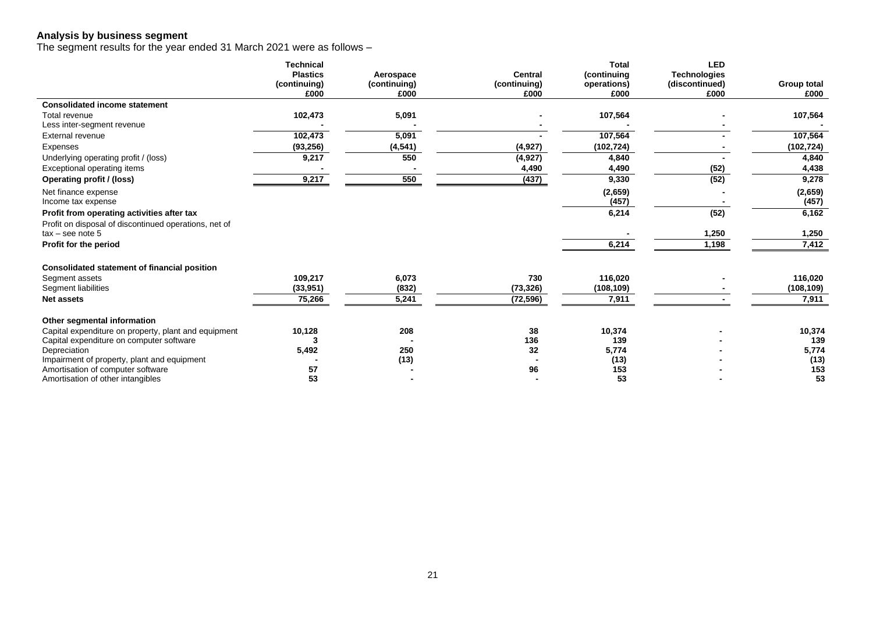### **Analysis by business segment**

The segment results for the year ended 31 March 2021 were as follows –

|                                                          | <b>Technical</b> |              |                | <b>Total</b>  | <b>LED</b>          |               |
|----------------------------------------------------------|------------------|--------------|----------------|---------------|---------------------|---------------|
|                                                          | <b>Plastics</b>  | Aerospace    | <b>Central</b> | (continuing   | <b>Technologies</b> |               |
|                                                          | (continuing)     | (continuing) | (continuing)   | operations)   | (discontinued)      | Group total   |
|                                                          | £000             | £000         | £000           | £000          | £000                | £000          |
| <b>Consolidated income statement</b>                     |                  |              |                |               |                     |               |
| Total revenue                                            | 102,473          | 5,091        |                | 107,564       |                     | 107,564       |
| Less inter-segment revenue                               |                  |              |                |               |                     |               |
| External revenue                                         | 102,473          | 5,091        |                | 107,564       |                     | 107,564       |
| Expenses                                                 | (93, 256)        | (4, 541)     | (4, 927)       | (102, 724)    |                     | (102, 724)    |
| Underlying operating profit / (loss)                     | 9,217            | 550          | (4, 927)       | 4,840         |                     | 4,840         |
| <b>Exceptional operating items</b>                       |                  |              | 4,490          | 4,490         | (52)                | 4,438         |
| Operating profit / (loss)                                | 9,217            | 550          | (437)          | 9,330         | (52)                | 9,278         |
| Net finance expense                                      |                  |              |                | (2,659)       |                     | (2,659)       |
| Income tax expense                                       |                  |              |                | (457)         |                     | (457)         |
| Profit from operating activities after tax               |                  |              |                | 6,214         | (52)                | 6,162         |
| Profit on disposal of discontinued operations, net of    |                  |              |                |               |                     |               |
| $tax - see note 5$                                       |                  |              |                |               | 1,250               | 1,250         |
| Profit for the period                                    |                  |              |                | 6,214         | 1,198               | 7,412         |
| <b>Consolidated statement of financial position</b>      |                  |              |                |               |                     |               |
| Segment assets                                           | 109.217          | 6,073        | 730            | 116,020       |                     | 116,020       |
| Segment liabilities                                      | (33, 951)        | (832)        | (73, 326)      | (108, 109)    |                     | (108, 109)    |
| <b>Net assets</b>                                        | 75,266           | 5,241        | (72, 596)      | 7,911         |                     | 7,911         |
|                                                          |                  |              |                |               |                     |               |
| Other segmental information                              |                  |              |                |               |                     |               |
| Capital expenditure on property, plant and equipment     | 10,128           | 208          | 38<br>136      | 10,374<br>139 |                     | 10,374<br>139 |
| Capital expenditure on computer software<br>Depreciation | 5,492            | 250          | 32             | 5,774         |                     | 5,774         |
| Impairment of property, plant and equipment              |                  | (13)         |                | (13)          |                     | (13)          |
| Amortisation of computer software                        | 57               |              | 96             | 153           |                     | 153           |
| Amortisation of other intangibles                        | 53               |              |                | 53            |                     | 53            |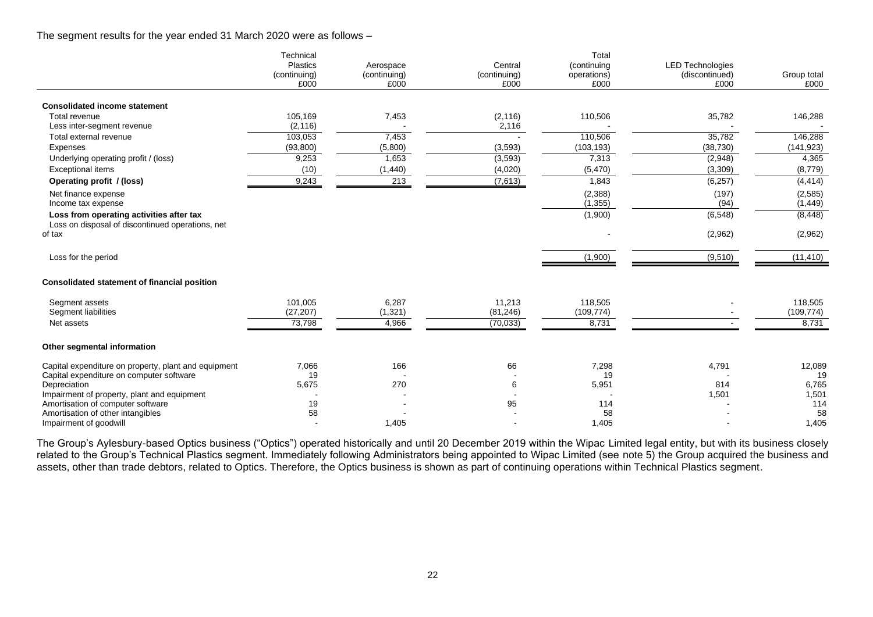The segment results for the year ended 31 March 2020 were as follows –

|                                                                                                  | Technical<br><b>Plastics</b><br>(continuing)<br>£000 | Aerospace<br>(continuing)<br>£000 | Central<br>(continuing)<br>£000 | Total<br>(continuing<br>operations)<br>£000 | <b>LED Technologies</b><br>(discontinued)<br>£000 | Group total<br>£000   |
|--------------------------------------------------------------------------------------------------|------------------------------------------------------|-----------------------------------|---------------------------------|---------------------------------------------|---------------------------------------------------|-----------------------|
| <b>Consolidated income statement</b>                                                             |                                                      |                                   |                                 |                                             |                                                   |                       |
| Total revenue<br>Less inter-segment revenue                                                      | 105,169<br>(2, 116)                                  | 7,453                             | (2, 116)<br>2,116               | 110,506                                     | 35,782                                            | 146,288               |
| Total external revenue                                                                           | 103,053                                              | 7,453                             |                                 | 110,506                                     | 35,782                                            | 146,288               |
| Expenses                                                                                         | (93, 800)                                            | (5,800)                           | (3, 593)                        | (103, 193)                                  | (38, 730)                                         | (141, 923)            |
| Underlying operating profit / (loss)                                                             | 9,253                                                | 1,653                             | (3, 593)                        | 7,313                                       | (2,948)                                           | 4,365                 |
| <b>Exceptional items</b>                                                                         | (10)                                                 | (1,440)                           | (4,020)                         | (5,470)                                     | (3,309)                                           | (8,779)               |
| Operating profit / (loss)                                                                        | 9,243                                                | 213                               | (7,613)                         | 1,843                                       | (6, 257)                                          | (4, 414)              |
| Net finance expense<br>Income tax expense                                                        |                                                      |                                   |                                 | (2,388)<br>(1, 355)                         | (197)<br>(94)                                     | (2, 585)<br>(1, 449)  |
| Loss from operating activities after tax                                                         |                                                      |                                   |                                 | (1,900)                                     | (6, 548)                                          | (8, 448)              |
| Loss on disposal of discontinued operations, net<br>of tax                                       |                                                      |                                   |                                 |                                             | (2,962)                                           | (2,962)               |
| Loss for the period                                                                              |                                                      |                                   |                                 | (1,900)                                     | (9,510)                                           | (11, 410)             |
| <b>Consolidated statement of financial position</b>                                              |                                                      |                                   |                                 |                                             |                                                   |                       |
| Segment assets<br>Segment liabilities                                                            | 101,005<br>(27, 207)                                 | 6,287<br>(1, 321)                 | 11,213<br>(81, 246)             | 118,505<br>(109, 774)                       |                                                   | 118,505<br>(109, 774) |
| Net assets                                                                                       | 73,798                                               | 4,966                             | (70, 033)                       | 8,731                                       |                                                   | 8,731                 |
| Other segmental information                                                                      |                                                      |                                   |                                 |                                             |                                                   |                       |
| Capital expenditure on property, plant and equipment<br>Capital expenditure on computer software | 7,066<br>19                                          | 166                               | 66                              | 7,298<br>19                                 | 4,791                                             | 12,089<br>19          |
| Depreciation                                                                                     | 5,675                                                | 270                               | 6                               | 5,951                                       | 814                                               | 6,765                 |
| Impairment of property, plant and equipment                                                      |                                                      |                                   |                                 |                                             | 1,501                                             | 1,501                 |
| Amortisation of computer software                                                                | 19                                                   |                                   | 95                              | 114                                         |                                                   | 114                   |
| Amortisation of other intangibles                                                                | 58                                                   |                                   |                                 | 58                                          |                                                   | 58                    |
| Impairment of goodwill                                                                           |                                                      | 1,405                             |                                 | 1,405                                       |                                                   | 1,405                 |

The Group's Aylesbury-based Optics business ("Optics") operated historically and until 20 December 2019 within the Wipac Limited legal entity, but with its business closely related to the Group's Technical Plastics segment. Immediately following Administrators being appointed to Wipac Limited (see note 5) the Group acquired the business and assets, other than trade debtors, related to Optics. Therefore, the Optics business is shown as part of continuing operations within Technical Plastics segment.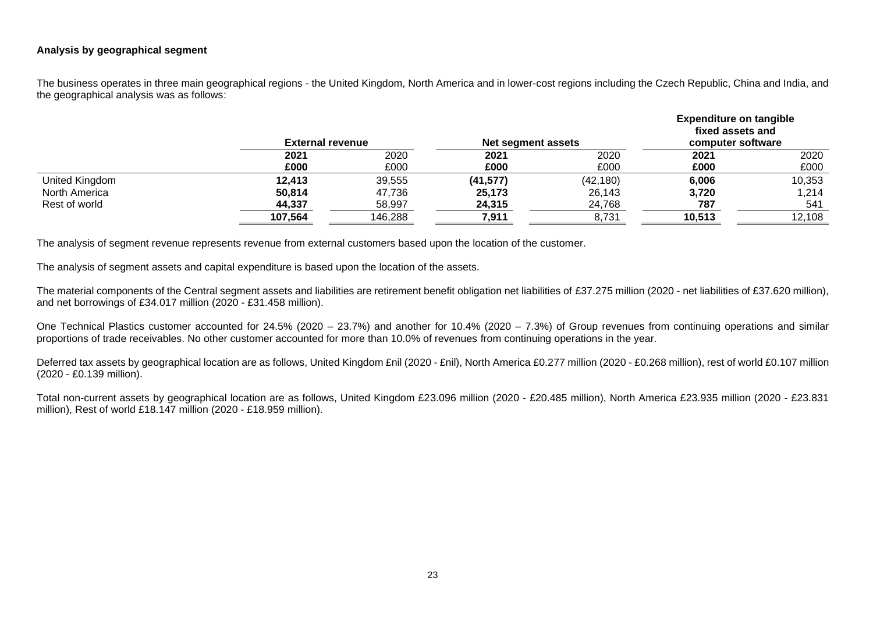### **Analysis by geographical segment**

The business operates in three main geographical regions - the United Kingdom, North America and in lower-cost regions including the Czech Republic, China and India, and the geographical analysis was as follows:

|                | <b>External revenue</b> |         | Net segment assets |           | <b>Expenditure on tangible</b><br>fixed assets and<br>computer software |        |
|----------------|-------------------------|---------|--------------------|-----------|-------------------------------------------------------------------------|--------|
|                | 2021                    | 2020    | 2021               | 2020      | 2021                                                                    | 2020   |
|                | £000                    | £000    | £000               | £000      | £000                                                                    | £000   |
| United Kingdom | 12,413                  | 39,555  | (41, 577)          | (42, 180) | 6,006                                                                   | 10,353 |
| North America  | 50,814                  | 47,736  | 25,173             | 26,143    | 3,720                                                                   | 1,214  |
| Rest of world  | 44,337                  | 58,997  | 24,315             | 24,768    | 787                                                                     | 541    |
|                | 107,564                 | 146,288 | 7,911              | 8,731     | 10,513                                                                  | 12,108 |

The analysis of segment revenue represents revenue from external customers based upon the location of the customer.

The analysis of segment assets and capital expenditure is based upon the location of the assets.

The material components of the Central segment assets and liabilities are retirement benefit obligation net liabilities of £37.275 million (2020 - net liabilities of £37.620 million), and net borrowings of £34.017 million (2020 - £31.458 million).

One Technical Plastics customer accounted for 24.5% (2020 – 23.7%) and another for 10.4% (2020 – 7.3%) of Group revenues from continuing operations and similar proportions of trade receivables. No other customer accounted for more than 10.0% of revenues from continuing operations in the year.

Deferred tax assets by geographical location are as follows, United Kingdom £nil (2020 - £nil), North America £0.277 million (2020 - £0.268 million), rest of world £0.107 million (2020 - £0.139 million).

Total non-current assets by geographical location are as follows, United Kingdom £23.096 million (2020 - £20.485 million), North America £23.935 million (2020 - £23.831 million), Rest of world £18.147 million (2020 - £18.959 million).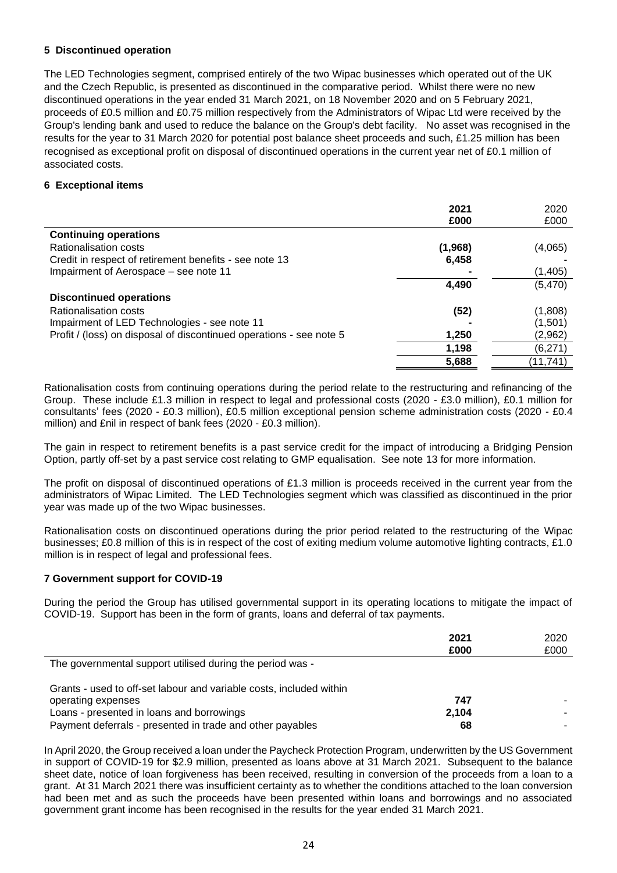### **5 Discontinued operation**

The LED Technologies segment, comprised entirely of the two Wipac businesses which operated out of the UK and the Czech Republic, is presented as discontinued in the comparative period. Whilst there were no new discontinued operations in the year ended 31 March 2021, on 18 November 2020 and on 5 February 2021, proceeds of £0.5 million and £0.75 million respectively from the Administrators of Wipac Ltd were received by the Group's lending bank and used to reduce the balance on the Group's debt facility. No asset was recognised in the results for the year to 31 March 2020 for potential post balance sheet proceeds and such, £1.25 million has been recognised as exceptional profit on disposal of discontinued operations in the current year net of £0.1 million of associated costs.

### **6 Exceptional items**

|                                                                     | 2021    | 2020      |
|---------------------------------------------------------------------|---------|-----------|
|                                                                     | £000    | £000      |
| <b>Continuing operations</b>                                        |         |           |
| Rationalisation costs                                               | (1,968) | (4,065)   |
| Credit in respect of retirement benefits - see note 13              | 6,458   |           |
| Impairment of Aerospace – see note 11                               |         | (1,405)   |
|                                                                     | 4,490   | (5, 470)  |
| <b>Discontinued operations</b>                                      |         |           |
| <b>Rationalisation costs</b>                                        | (52)    | (1,808)   |
| Impairment of LED Technologies - see note 11                        |         | (1,501)   |
| Profit / (loss) on disposal of discontinued operations - see note 5 | 1,250   | (2,962)   |
|                                                                     | 1,198   | (6,271)   |
|                                                                     | 5,688   | (11, 741) |

Rationalisation costs from continuing operations during the period relate to the restructuring and refinancing of the Group. These include £1.3 million in respect to legal and professional costs (2020 - £3.0 million), £0.1 million for consultants' fees (2020 - £0.3 million), £0.5 million exceptional pension scheme administration costs (2020 - £0.4 million) and £nil in respect of bank fees (2020 - £0.3 million).

The gain in respect to retirement benefits is a past service credit for the impact of introducing a Bridging Pension Option, partly off-set by a past service cost relating to GMP equalisation. See note 13 for more information.

The profit on disposal of discontinued operations of £1.3 million is proceeds received in the current year from the administrators of Wipac Limited. The LED Technologies segment which was classified as discontinued in the prior year was made up of the two Wipac businesses.

Rationalisation costs on discontinued operations during the prior period related to the restructuring of the Wipac businesses; £0.8 million of this is in respect of the cost of exiting medium volume automotive lighting contracts, £1.0 million is in respect of legal and professional fees.

### **7 Government support for COVID-19**

During the period the Group has utilised governmental support in its operating locations to mitigate the impact of COVID-19. Support has been in the form of grants, loans and deferral of tax payments.

|                                                                     | 2021<br>£000 | 2020<br>£000 |
|---------------------------------------------------------------------|--------------|--------------|
| The governmental support utilised during the period was -           |              |              |
| Grants - used to off-set labour and variable costs, included within |              |              |
| operating expenses                                                  | 747          |              |
| Loans - presented in loans and borrowings                           | 2,104        |              |
| Payment deferrals - presented in trade and other payables           | 68           |              |

In April 2020, the Group received a loan under the Paycheck Protection Program, underwritten by the US Government in support of COVID-19 for \$2.9 million, presented as loans above at 31 March 2021. Subsequent to the balance sheet date, notice of loan forgiveness has been received, resulting in conversion of the proceeds from a loan to a grant. At 31 March 2021 there was insufficient certainty as to whether the conditions attached to the loan conversion had been met and as such the proceeds have been presented within loans and borrowings and no associated government grant income has been recognised in the results for the year ended 31 March 2021.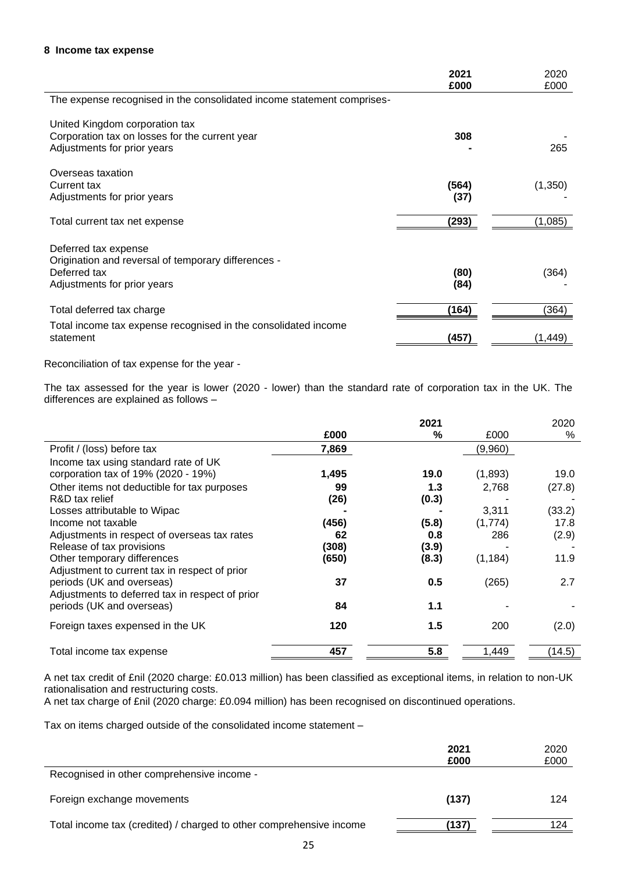|                                                                                                                            | 2021<br>£000  | 2020<br>£000 |
|----------------------------------------------------------------------------------------------------------------------------|---------------|--------------|
| The expense recognised in the consolidated income statement comprises-                                                     |               |              |
| United Kingdom corporation tax<br>Corporation tax on losses for the current year<br>Adjustments for prior years            | 308           | 265          |
| Overseas taxation<br>Current tax<br>Adjustments for prior years                                                            | (564)<br>(37) | (1,350)      |
| Total current tax net expense                                                                                              | (293)         | (1,085)      |
| Deferred tax expense<br>Origination and reversal of temporary differences -<br>Deferred tax<br>Adjustments for prior years | (80)<br>(84)  | (364)        |
| Total deferred tax charge                                                                                                  | (164)         | (364)        |
| Total income tax expense recognised in the consolidated income<br>statement                                                | (457)         | (1,449)      |

Reconciliation of tax expense for the year -

The tax assessed for the year is lower (2020 - lower) than the standard rate of corporation tax in the UK. The differences are explained as follows –

|                                                 |       | 2021  |          | 2020   |
|-------------------------------------------------|-------|-------|----------|--------|
|                                                 | £000  | %     | £000     | %      |
| Profit / (loss) before tax                      | 7,869 |       | (9,960)  |        |
| Income tax using standard rate of UK            |       |       |          |        |
| corporation tax of 19% (2020 - 19%)             | 1,495 | 19.0  | (1,893)  | 19.0   |
| Other items not deductible for tax purposes     | 99    | 1.3   | 2,768    | (27.8) |
| R&D tax relief                                  | (26)  | (0.3) |          |        |
| Losses attributable to Wipac                    |       |       | 3,311    | (33.2) |
| Income not taxable                              | (456) | (5.8) | (1,774)  | 17.8   |
| Adjustments in respect of overseas tax rates    | 62    | 0.8   | 286      | (2.9)  |
| Release of tax provisions                       | (308) | (3.9) |          |        |
| Other temporary differences                     | (650) | (8.3) | (1, 184) | 11.9   |
| Adjustment to current tax in respect of prior   |       |       |          |        |
| periods (UK and overseas)                       | 37    | 0.5   | (265)    | 2.7    |
| Adjustments to deferred tax in respect of prior |       |       |          |        |
| periods (UK and overseas)                       | 84    | 1.1   |          |        |
| Foreign taxes expensed in the UK                | 120   | 1.5   | 200      | (2.0)  |
|                                                 |       |       |          |        |
| Total income tax expense                        | 457   | 5.8   | 1,449    | (14.5) |

A net tax credit of £nil (2020 charge: £0.013 million) has been classified as exceptional items, in relation to non-UK rationalisation and restructuring costs.

A net tax charge of £nil (2020 charge: £0.094 million) has been recognised on discontinued operations.

Tax on items charged outside of the consolidated income statement –

|                                                                     | 2021<br>£000 | 2020<br>£000 |
|---------------------------------------------------------------------|--------------|--------------|
| Recognised in other comprehensive income -                          |              |              |
| Foreign exchange movements                                          | (137)        | 124          |
| Total income tax (credited) / charged to other comprehensive income | (137)        | 124          |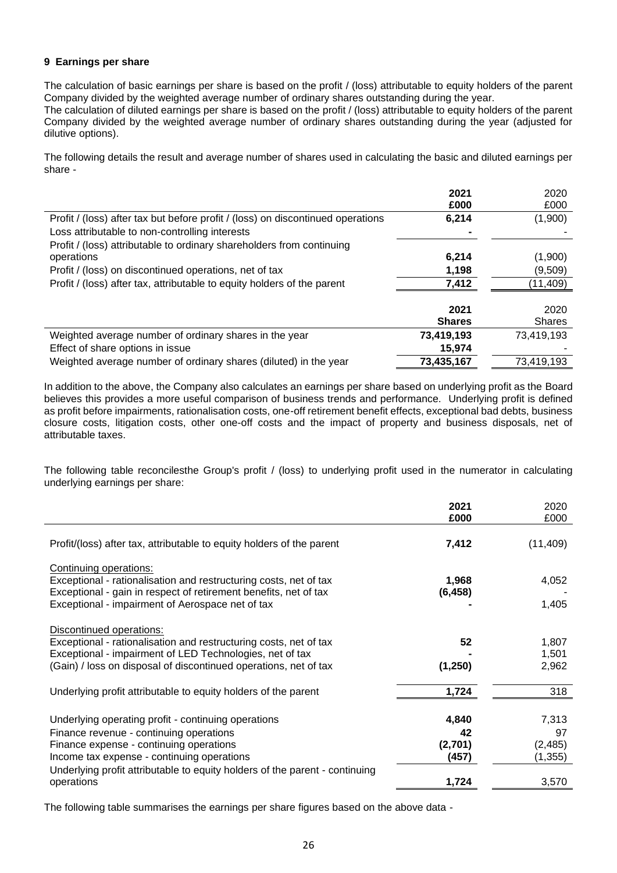### **9 Earnings per share**

The calculation of basic earnings per share is based on the profit / (loss) attributable to equity holders of the parent Company divided by the weighted average number of ordinary shares outstanding during the year.

The calculation of diluted earnings per share is based on the profit / (loss) attributable to equity holders of the parent Company divided by the weighted average number of ordinary shares outstanding during the year (adjusted for dilutive options).

The following details the result and average number of shares used in calculating the basic and diluted earnings per share -

|                                                                                 | 2021          | 2020       |
|---------------------------------------------------------------------------------|---------------|------------|
|                                                                                 | £000          | £000       |
| Profit / (loss) after tax but before profit / (loss) on discontinued operations | 6,214         | (1,900)    |
| Loss attributable to non-controlling interests                                  |               |            |
| Profit / (loss) attributable to ordinary shareholders from continuing           |               |            |
| operations                                                                      | 6,214         | (1,900)    |
| Profit / (loss) on discontinued operations, net of tax                          | 1,198         | (9,509)    |
| Profit / (loss) after tax, attributable to equity holders of the parent         | 7,412         | (11,409)   |
|                                                                                 |               |            |
|                                                                                 | 2021          | 2020       |
|                                                                                 | <b>Shares</b> | Shares     |
| Weighted average number of ordinary shares in the year                          | 73,419,193    | 73,419,193 |
| Effect of share options in issue                                                | 15,974        |            |
| Weighted average number of ordinary shares (diluted) in the year                | 73,435,167    | 73,419,193 |

In addition to the above, the Company also calculates an earnings per share based on underlying profit as the Board believes this provides a more useful comparison of business trends and performance. Underlying profit is defined as profit before impairments, rationalisation costs, one-off retirement benefit effects, exceptional bad debts, business closure costs, litigation costs, other one-off costs and the impact of property and business disposals, net of attributable taxes.

The following table reconcilesthe Group's profit / (loss) to underlying profit used in the numerator in calculating underlying earnings per share:

|                                                                                                                      | 2021<br>£000 | 2020<br>£000 |
|----------------------------------------------------------------------------------------------------------------------|--------------|--------------|
| Profit/(loss) after tax, attributable to equity holders of the parent                                                | 7,412        | (11, 409)    |
| Continuing operations:                                                                                               |              |              |
| Exceptional - rationalisation and restructuring costs, net of tax                                                    | 1,968        | 4,052        |
| Exceptional - gain in respect of retirement benefits, net of tax<br>Exceptional - impairment of Aerospace net of tax | (6, 458)     | 1,405        |
| Discontinued operations:                                                                                             |              |              |
| Exceptional - rationalisation and restructuring costs, net of tax                                                    | 52           | 1,807        |
| Exceptional - impairment of LED Technologies, net of tax                                                             |              | 1,501        |
| (Gain) / loss on disposal of discontinued operations, net of tax                                                     | (1,250)      | 2,962        |
| Underlying profit attributable to equity holders of the parent                                                       | 1,724        | 318          |
| Underlying operating profit - continuing operations                                                                  | 4,840        | 7,313        |
| Finance revenue - continuing operations                                                                              | 42           | 97           |
| Finance expense - continuing operations                                                                              | (2,701)      | (2,485)      |
| Income tax expense - continuing operations                                                                           | (457)        | (1,355)      |
| Underlying profit attributable to equity holders of the parent - continuing                                          |              |              |
| operations                                                                                                           | 1,724        | 3,570        |

The following table summarises the earnings per share figures based on the above data -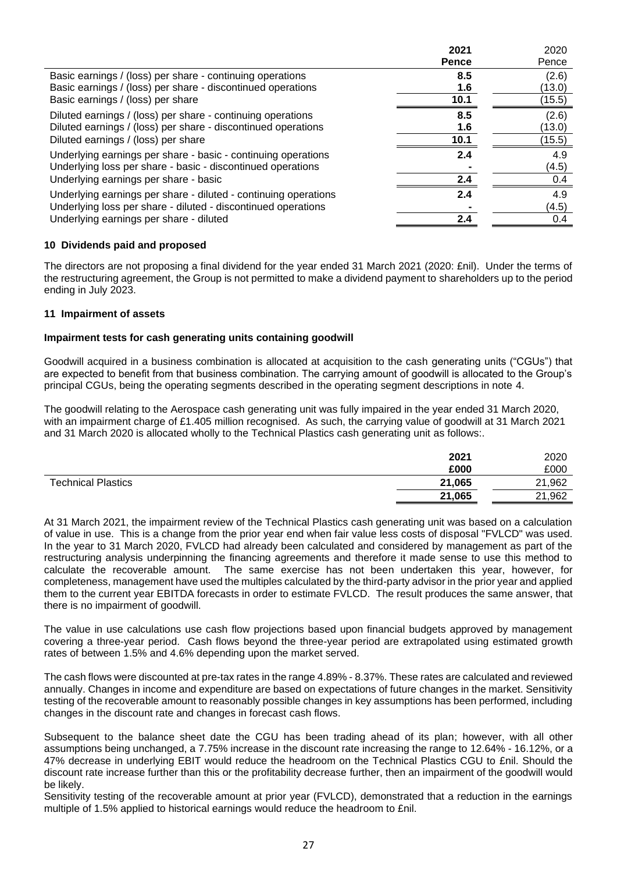|                                                                 | 2021         | 2020   |
|-----------------------------------------------------------------|--------------|--------|
|                                                                 | <b>Pence</b> | Pence  |
| Basic earnings / (loss) per share - continuing operations       | 8.5          | (2.6)  |
| Basic earnings / (loss) per share - discontinued operations     | 1.6          | (13.0) |
| Basic earnings / (loss) per share                               | 10.1         | (15.5) |
| Diluted earnings / (loss) per share - continuing operations     | 8.5          | (2.6)  |
| Diluted earnings / (loss) per share - discontinued operations   | 1.6          | (13.0) |
| Diluted earnings / (loss) per share                             | 10.1         | (15.5) |
| Underlying earnings per share - basic - continuing operations   | 2.4          | 4.9    |
| Underlying loss per share - basic - discontinued operations     |              | (4.5)  |
| Underlying earnings per share - basic                           | 2.4          | 0.4    |
| Underlying earnings per share - diluted - continuing operations | 2.4          | 4.9    |
| Underlying loss per share - diluted - discontinued operations   |              | (4.5)  |
| Underlying earnings per share - diluted                         | 2.4          | 0.4    |

## **10 Dividends paid and proposed**

The directors are not proposing a final dividend for the year ended 31 March 2021 (2020: £nil). Under the terms of the restructuring agreement, the Group is not permitted to make a dividend payment to shareholders up to the period ending in July 2023.

### **11 Impairment of assets**

### **Impairment tests for cash generating units containing goodwill**

Goodwill acquired in a business combination is allocated at acquisition to the cash generating units ("CGUs") that are expected to benefit from that business combination. The carrying amount of goodwill is allocated to the Group's principal CGUs, being the operating segments described in the operating segment descriptions in note 4.

The goodwill relating to the Aerospace cash generating unit was fully impaired in the year ended 31 March 2020, with an impairment charge of £1.405 million recognised. As such, the carrying value of goodwill at 31 March 2021 and 31 March 2020 is allocated wholly to the Technical Plastics cash generating unit as follows:.

| 2021   | 2020   |
|--------|--------|
| £000   | £000   |
| 21,065 | 21,962 |
| 21,065 | 21,962 |
|        |        |

At 31 March 2021, the impairment review of the Technical Plastics cash generating unit was based on a calculation of value in use. This is a change from the prior year end when fair value less costs of disposal "FVLCD" was used. In the year to 31 March 2020, FVLCD had already been calculated and considered by management as part of the restructuring analysis underpinning the financing agreements and therefore it made sense to use this method to calculate the recoverable amount. The same exercise has not been undertaken this year, however, for completeness, management have used the multiples calculated by the third-party advisor in the prior year and applied them to the current year EBITDA forecasts in order to estimate FVLCD. The result produces the same answer, that there is no impairment of goodwill.

The value in use calculations use cash flow projections based upon financial budgets approved by management covering a three-year period. Cash flows beyond the three-year period are extrapolated using estimated growth rates of between 1.5% and 4.6% depending upon the market served.

The cash flows were discounted at pre-tax rates in the range 4.89% - 8.37%. These rates are calculated and reviewed annually. Changes in income and expenditure are based on expectations of future changes in the market. Sensitivity testing of the recoverable amount to reasonably possible changes in key assumptions has been performed, including changes in the discount rate and changes in forecast cash flows.

Subsequent to the balance sheet date the CGU has been trading ahead of its plan; however, with all other assumptions being unchanged, a 7.75% increase in the discount rate increasing the range to 12.64% - 16.12%, or a 47% decrease in underlying EBIT would reduce the headroom on the Technical Plastics CGU to £nil. Should the discount rate increase further than this or the profitability decrease further, then an impairment of the goodwill would be likely.

Sensitivity testing of the recoverable amount at prior year (FVLCD), demonstrated that a reduction in the earnings multiple of 1.5% applied to historical earnings would reduce the headroom to £nil.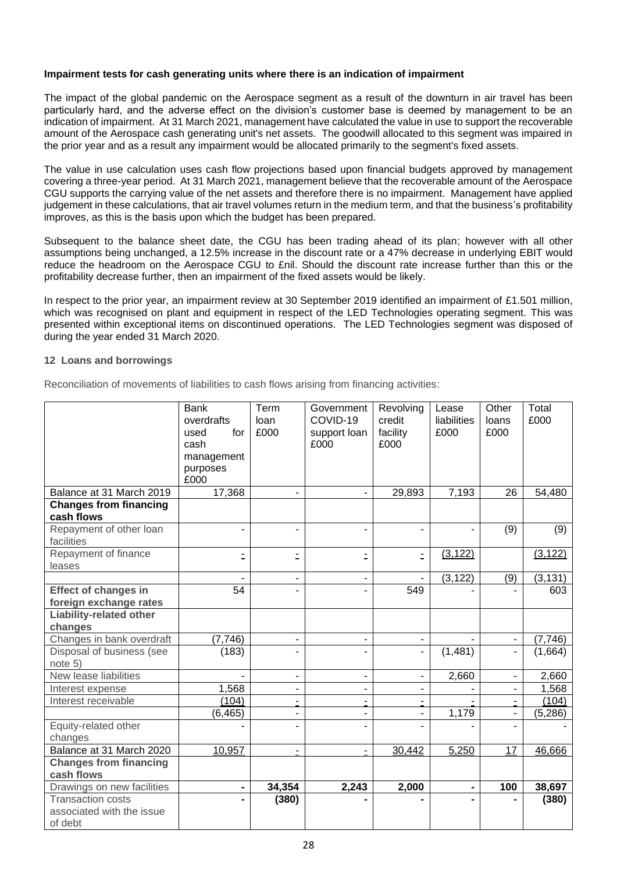### **Impairment tests for cash generating units where there is an indication of impairment**

The impact of the global pandemic on the Aerospace segment as a result of the downturn in air travel has been particularly hard, and the adverse effect on the division's customer base is deemed by management to be an indication of impairment. At 31 March 2021, management have calculated the value in use to support the recoverable amount of the Aerospace cash generating unit's net assets. The goodwill allocated to this segment was impaired in the prior year and as a result any impairment would be allocated primarily to the segment's fixed assets.

The value in use calculation uses cash flow projections based upon financial budgets approved by management covering a three-year period. At 31 March 2021, management believe that the recoverable amount of the Aerospace CGU supports the carrying value of the net assets and therefore there is no impairment. Management have applied judgement in these calculations, that air travel volumes return in the medium term, and that the business's profitability improves, as this is the basis upon which the budget has been prepared.

Subsequent to the balance sheet date, the CGU has been trading ahead of its plan; however with all other assumptions being unchanged, a 12.5% increase in the discount rate or a 47% decrease in underlying EBIT would reduce the headroom on the Aerospace CGU to £nil. Should the discount rate increase further than this or the profitability decrease further, then an impairment of the fixed assets would be likely.

In respect to the prior year, an impairment review at 30 September 2019 identified an impairment of £1.501 million, which was recognised on plant and equipment in respect of the LED Technologies operating segment. This was presented within exceptional items on discontinued operations. The LED Technologies segment was disposed of during the year ended 31 March 2020.

### **12 Loans and borrowings**

Reconciliation of movements of liabilities to cash flows arising from financing activities:

|                                             | <b>Bank</b><br>overdrafts | Term<br>loan | Government<br>COVID-19 | Revolving<br>credit      | Lease<br>liabilities | Other<br>loans           | Total<br>£000 |
|---------------------------------------------|---------------------------|--------------|------------------------|--------------------------|----------------------|--------------------------|---------------|
|                                             | for<br>used               | £000         | support loan           | facility                 | £000                 | £000                     |               |
|                                             | cash                      |              | £000                   | £000                     |                      |                          |               |
|                                             | management                |              |                        |                          |                      |                          |               |
|                                             | purposes                  |              |                        |                          |                      |                          |               |
|                                             | £000                      |              |                        |                          |                      |                          |               |
| Balance at 31 March 2019                    | 17,368                    |              |                        | 29,893                   | 7,193                | 26                       | 54,480        |
| <b>Changes from financing</b><br>cash flows |                           |              |                        |                          |                      |                          |               |
| Repayment of other loan<br>facilities       |                           |              |                        |                          |                      | (9)                      | (9)           |
| Repayment of finance<br>leases              | Ė,                        | ۰            | Ė                      | Ė                        | (3, 122)             |                          | (3, 122)      |
|                                             |                           |              |                        |                          | (3, 122)             | (9)                      | (3, 131)      |
| <b>Effect of changes in</b>                 | $\overline{54}$           |              |                        | 549                      |                      |                          | 603           |
| foreign exchange rates                      |                           |              |                        |                          |                      |                          |               |
| <b>Liability-related other</b>              |                           |              |                        |                          |                      |                          |               |
| changes                                     |                           |              |                        |                          |                      |                          |               |
| Changes in bank overdraft                   | (7,746)                   |              | $\blacksquare$         | $\blacksquare$           |                      | $\blacksquare$           | (7, 746)      |
| Disposal of business (see<br>note 5)        | (183)                     |              |                        | $\overline{\phantom{a}}$ | (1,481)              | $\overline{\phantom{a}}$ | (1,664)       |
| New lease liabilities                       |                           |              |                        |                          | 2,660                | $\blacksquare$           | 2,660         |
| Interest expense                            | 1,568                     |              |                        |                          |                      |                          | 1,568         |
| Interest receivable                         | (104)                     |              |                        |                          |                      | $\blacksquare$           | (104)         |
|                                             | (6, 465)                  |              |                        |                          | 1,179                | ۰                        | (5, 286)      |
| Equity-related other<br>changes             |                           |              |                        |                          |                      |                          |               |
| Balance at 31 March 2020                    | 10,957                    |              | $\blacksquare$         | 30,442                   | 5,250                | 17                       | 46,666        |
| <b>Changes from financing</b><br>cash flows |                           |              |                        |                          |                      |                          |               |
| Drawings on new facilities                  |                           | 34,354       | 2,243                  | 2,000                    | $\blacksquare$       | 100                      | 38,697        |
| <b>Transaction costs</b>                    |                           | (380)        |                        |                          |                      |                          | (380)         |
| associated with the issue                   |                           |              |                        |                          |                      |                          |               |
| of debt                                     |                           |              |                        |                          |                      |                          |               |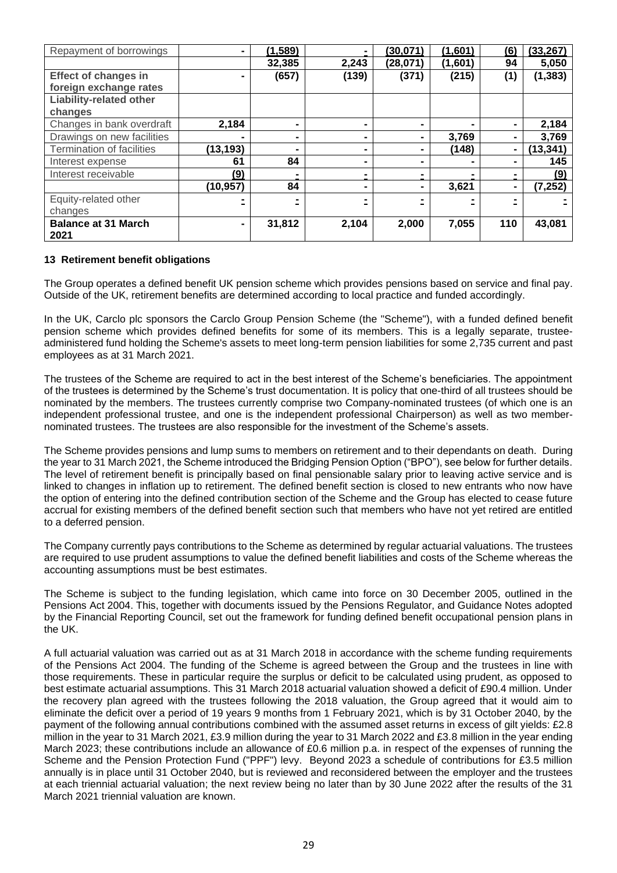| Repayment of borrowings          |           | (1, 589)       |                | (30, 071)      | (1,601) | (6)            | (33, 267) |
|----------------------------------|-----------|----------------|----------------|----------------|---------|----------------|-----------|
|                                  |           | 32,385         | 2,243          | (28,071)       | (1,601) | 94             | 5,050     |
| <b>Effect of changes in</b>      |           | (657)          | (139)          | (371)          | (215)   | (1)            | (1, 383)  |
| foreign exchange rates           |           |                |                |                |         |                |           |
| <b>Liability-related other</b>   |           |                |                |                |         |                |           |
| changes                          |           |                |                |                |         |                |           |
| Changes in bank overdraft        | 2,184     |                |                |                | -       | $\blacksquare$ | 2,184     |
| Drawings on new facilities       |           | $\blacksquare$ | $\blacksquare$ | $\blacksquare$ | 3,769   | $\blacksquare$ | 3,769     |
| <b>Termination of facilities</b> | (13, 193) |                |                |                | (148)   | $\blacksquare$ | (13, 341) |
| Interest expense                 | 61        | 84             |                |                |         |                | 145       |
| Interest receivable              | (9)       |                |                |                |         |                | (9)       |
|                                  | (10, 957) | 84             | $\blacksquare$ | $\blacksquare$ | 3,621   | $\blacksquare$ | (7, 252)  |
| Equity-related other             |           |                |                |                |         |                |           |
| changes                          |           |                |                |                |         |                |           |
| <b>Balance at 31 March</b>       |           | 31,812         | 2,104          | 2,000          | 7,055   | 110            | 43,081    |
| 2021                             |           |                |                |                |         |                |           |

### **13 Retirement benefit obligations**

The Group operates a defined benefit UK pension scheme which provides pensions based on service and final pay. Outside of the UK, retirement benefits are determined according to local practice and funded accordingly.

In the UK, Carclo plc sponsors the Carclo Group Pension Scheme (the "Scheme"), with a funded defined benefit pension scheme which provides defined benefits for some of its members. This is a legally separate, trusteeadministered fund holding the Scheme's assets to meet long-term pension liabilities for some 2,735 current and past employees as at 31 March 2021.

The trustees of the Scheme are required to act in the best interest of the Scheme's beneficiaries. The appointment of the trustees is determined by the Scheme's trust documentation. It is policy that one-third of all trustees should be nominated by the members. The trustees currently comprise two Company-nominated trustees (of which one is an independent professional trustee, and one is the independent professional Chairperson) as well as two membernominated trustees. The trustees are also responsible for the investment of the Scheme's assets.

The Scheme provides pensions and lump sums to members on retirement and to their dependants on death. During the year to 31 March 2021, the Scheme introduced the Bridging Pension Option ("BPO"), see below for further details. The level of retirement benefit is principally based on final pensionable salary prior to leaving active service and is linked to changes in inflation up to retirement. The defined benefit section is closed to new entrants who now have the option of entering into the defined contribution section of the Scheme and the Group has elected to cease future accrual for existing members of the defined benefit section such that members who have not yet retired are entitled to a deferred pension.

The Company currently pays contributions to the Scheme as determined by regular actuarial valuations. The trustees are required to use prudent assumptions to value the defined benefit liabilities and costs of the Scheme whereas the accounting assumptions must be best estimates.

The Scheme is subject to the funding legislation, which came into force on 30 December 2005, outlined in the Pensions Act 2004. This, together with documents issued by the Pensions Regulator, and Guidance Notes adopted by the Financial Reporting Council, set out the framework for funding defined benefit occupational pension plans in the UK.

A full actuarial valuation was carried out as at 31 March 2018 in accordance with the scheme funding requirements of the Pensions Act 2004. The funding of the Scheme is agreed between the Group and the trustees in line with those requirements. These in particular require the surplus or deficit to be calculated using prudent, as opposed to best estimate actuarial assumptions. This 31 March 2018 actuarial valuation showed a deficit of £90.4 million. Under the recovery plan agreed with the trustees following the 2018 valuation, the Group agreed that it would aim to eliminate the deficit over a period of 19 years 9 months from 1 February 2021, which is by 31 October 2040, by the payment of the following annual contributions combined with the assumed asset returns in excess of gilt yields: £2.8 million in the year to 31 March 2021, £3.9 million during the year to 31 March 2022 and £3.8 million in the year ending March 2023; these contributions include an allowance of £0.6 million p.a. in respect of the expenses of running the Scheme and the Pension Protection Fund ("PPF") levy. Beyond 2023 a schedule of contributions for £3.5 million annually is in place until 31 October 2040, but is reviewed and reconsidered between the employer and the trustees at each triennial actuarial valuation; the next review being no later than by 30 June 2022 after the results of the 31 March 2021 triennial valuation are known.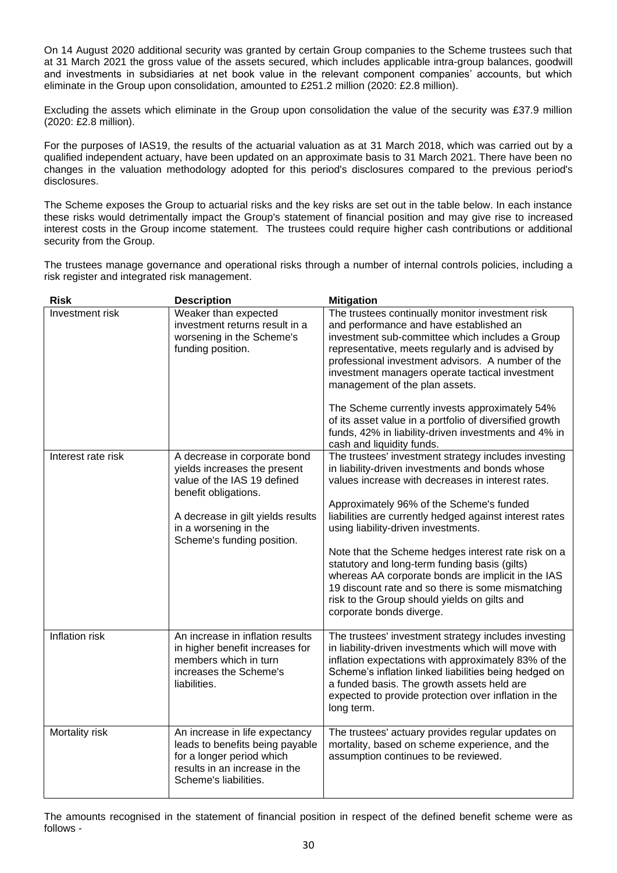On 14 August 2020 additional security was granted by certain Group companies to the Scheme trustees such that at 31 March 2021 the gross value of the assets secured, which includes applicable intra-group balances, goodwill and investments in subsidiaries at net book value in the relevant component companies' accounts, but which eliminate in the Group upon consolidation, amounted to £251.2 million (2020: £2.8 million).

Excluding the assets which eliminate in the Group upon consolidation the value of the security was £37.9 million (2020: £2.8 million).

For the purposes of IAS19, the results of the actuarial valuation as at 31 March 2018, which was carried out by a qualified independent actuary, have been updated on an approximate basis to 31 March 2021. There have been no changes in the valuation methodology adopted for this period's disclosures compared to the previous period's disclosures.

The Scheme exposes the Group to actuarial risks and the key risks are set out in the table below. In each instance these risks would detrimentally impact the Group's statement of financial position and may give rise to increased interest costs in the Group income statement. The trustees could require higher cash contributions or additional security from the Group.

The trustees manage governance and operational risks through a number of internal controls policies, including a risk register and integrated risk management.

| <b>Risk</b>        | <b>Description</b>                                                                                                                                                                                              | <b>Mitigation</b>                                                                                                                                                                                                                                                                                                                                                                                                                                                                                                                                                                                         |
|--------------------|-----------------------------------------------------------------------------------------------------------------------------------------------------------------------------------------------------------------|-----------------------------------------------------------------------------------------------------------------------------------------------------------------------------------------------------------------------------------------------------------------------------------------------------------------------------------------------------------------------------------------------------------------------------------------------------------------------------------------------------------------------------------------------------------------------------------------------------------|
| Investment risk    | Weaker than expected<br>investment returns result in a<br>worsening in the Scheme's<br>funding position.                                                                                                        | The trustees continually monitor investment risk<br>and performance and have established an<br>investment sub-committee which includes a Group<br>representative, meets regularly and is advised by<br>professional investment advisors. A number of the<br>investment managers operate tactical investment<br>management of the plan assets.<br>The Scheme currently invests approximately 54%<br>of its asset value in a portfolio of diversified growth<br>funds, 42% in liability-driven investments and 4% in<br>cash and liquidity funds.                                                           |
| Interest rate risk | A decrease in corporate bond<br>yields increases the present<br>value of the IAS 19 defined<br>benefit obligations.<br>A decrease in gilt yields results<br>in a worsening in the<br>Scheme's funding position. | The trustees' investment strategy includes investing<br>in liability-driven investments and bonds whose<br>values increase with decreases in interest rates.<br>Approximately 96% of the Scheme's funded<br>liabilities are currently hedged against interest rates<br>using liability-driven investments.<br>Note that the Scheme hedges interest rate risk on a<br>statutory and long-term funding basis (gilts)<br>whereas AA corporate bonds are implicit in the IAS<br>19 discount rate and so there is some mismatching<br>risk to the Group should yields on gilts and<br>corporate bonds diverge. |
| Inflation risk     | An increase in inflation results<br>in higher benefit increases for<br>members which in turn<br>increases the Scheme's<br>liabilities.                                                                          | The trustees' investment strategy includes investing<br>in liability-driven investments which will move with<br>inflation expectations with approximately 83% of the<br>Scheme's inflation linked liabilities being hedged on<br>a funded basis. The growth assets held are<br>expected to provide protection over inflation in the<br>long term.                                                                                                                                                                                                                                                         |
| Mortality risk     | An increase in life expectancy<br>leads to benefits being payable<br>for a longer period which<br>results in an increase in the<br>Scheme's liabilities.                                                        | The trustees' actuary provides regular updates on<br>mortality, based on scheme experience, and the<br>assumption continues to be reviewed.                                                                                                                                                                                                                                                                                                                                                                                                                                                               |

The amounts recognised in the statement of financial position in respect of the defined benefit scheme were as follows -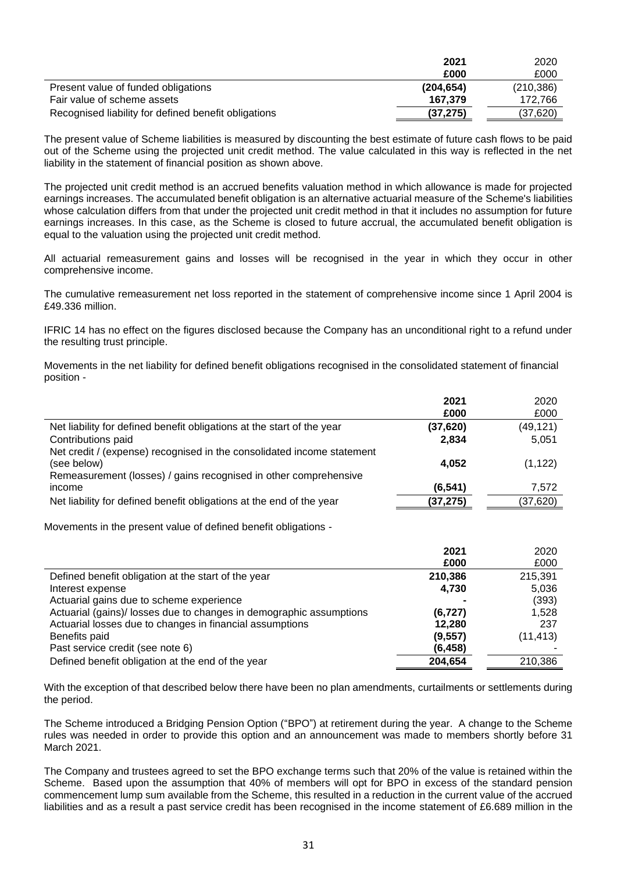|                                                      | 2021      | 2020       |
|------------------------------------------------------|-----------|------------|
|                                                      | £000      | £000       |
| Present value of funded obligations                  | (204.654) | (210, 386) |
| Fair value of scheme assets                          | 167.379   | 172.766    |
| Recognised liability for defined benefit obligations | (37, 275) | (37.620)   |

The present value of Scheme liabilities is measured by discounting the best estimate of future cash flows to be paid out of the Scheme using the projected unit credit method. The value calculated in this way is reflected in the net liability in the statement of financial position as shown above.

The projected unit credit method is an accrued benefits valuation method in which allowance is made for projected earnings increases. The accumulated benefit obligation is an alternative actuarial measure of the Scheme's liabilities whose calculation differs from that under the projected unit credit method in that it includes no assumption for future earnings increases. In this case, as the Scheme is closed to future accrual, the accumulated benefit obligation is equal to the valuation using the projected unit credit method.

All actuarial remeasurement gains and losses will be recognised in the year in which they occur in other comprehensive income.

The cumulative remeasurement net loss reported in the statement of comprehensive income since 1 April 2004 is £49.336 million.

IFRIC 14 has no effect on the figures disclosed because the Company has an unconditional right to a refund under the resulting trust principle.

Movements in the net liability for defined benefit obligations recognised in the consolidated statement of financial position -

|                                                                        | 2021     | 2020      |
|------------------------------------------------------------------------|----------|-----------|
|                                                                        | £000     | £000      |
| Net liability for defined benefit obligations at the start of the year | (37,620) | (49, 121) |
| Contributions paid                                                     | 2,834    | 5,051     |
| Net credit / (expense) recognised in the consolidated income statement |          |           |
| (see below)                                                            | 4.052    | (1, 122)  |
| Remeasurement (losses) / gains recognised in other comprehensive       |          |           |
| income                                                                 | (6, 541) | 7.572     |
| Net liability for defined benefit obligations at the end of the year   | (37,275) | (37, 620) |
|                                                                        |          |           |

Movements in the present value of defined benefit obligations -

|                                                                     | 2021     | 2020      |
|---------------------------------------------------------------------|----------|-----------|
|                                                                     | £000     | £000      |
| Defined benefit obligation at the start of the year                 | 210,386  | 215,391   |
| Interest expense                                                    | 4,730    | 5,036     |
| Actuarial gains due to scheme experience                            |          | (393)     |
| Actuarial (gains)/ losses due to changes in demographic assumptions | (6, 727) | 1.528     |
| Actuarial losses due to changes in financial assumptions            | 12,280   | 237       |
| Benefits paid                                                       | (9, 557) | (11, 413) |
| Past service credit (see note 6)                                    | (6, 458) |           |
| Defined benefit obligation at the end of the year                   | 204,654  | 210,386   |

With the exception of that described below there have been no plan amendments, curtailments or settlements during the period.

The Scheme introduced a Bridging Pension Option ("BPO") at retirement during the year. A change to the Scheme rules was needed in order to provide this option and an announcement was made to members shortly before 31 March 2021.

The Company and trustees agreed to set the BPO exchange terms such that 20% of the value is retained within the Scheme. Based upon the assumption that 40% of members will opt for BPO in excess of the standard pension commencement lump sum available from the Scheme, this resulted in a reduction in the current value of the accrued liabilities and as a result a past service credit has been recognised in the income statement of £6.689 million in the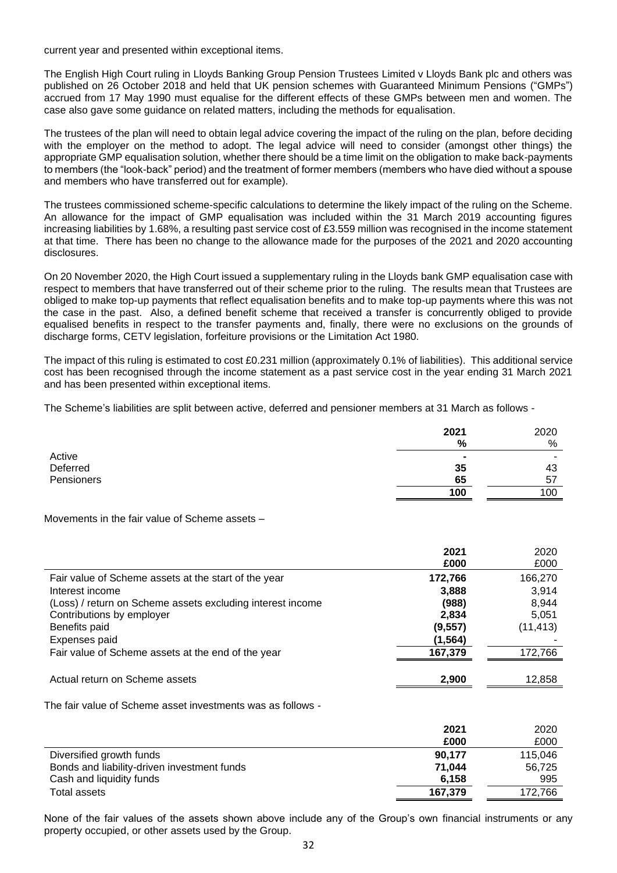current year and presented within exceptional items.

The English High Court ruling in Lloyds Banking Group Pension Trustees Limited v Lloyds Bank plc and others was published on 26 October 2018 and held that UK pension schemes with Guaranteed Minimum Pensions ("GMPs") accrued from 17 May 1990 must equalise for the different effects of these GMPs between men and women. The case also gave some guidance on related matters, including the methods for equalisation.

The trustees of the plan will need to obtain legal advice covering the impact of the ruling on the plan, before deciding with the employer on the method to adopt. The legal advice will need to consider (amongst other things) the appropriate GMP equalisation solution, whether there should be a time limit on the obligation to make back-payments to members (the "look-back" period) and the treatment of former members (members who have died without a spouse and members who have transferred out for example).

The trustees commissioned scheme-specific calculations to determine the likely impact of the ruling on the Scheme. An allowance for the impact of GMP equalisation was included within the 31 March 2019 accounting figures increasing liabilities by 1.68%, a resulting past service cost of £3.559 million was recognised in the income statement at that time. There has been no change to the allowance made for the purposes of the 2021 and 2020 accounting disclosures.

On 20 November 2020, the High Court issued a supplementary ruling in the Lloyds bank GMP equalisation case with respect to members that have transferred out of their scheme prior to the ruling. The results mean that Trustees are obliged to make top-up payments that reflect equalisation benefits and to make top-up payments where this was not the case in the past. Also, a defined benefit scheme that received a transfer is concurrently obliged to provide equalised benefits in respect to the transfer payments and, finally, there were no exclusions on the grounds of discharge forms, CETV legislation, forfeiture provisions or the Limitation Act 1980.

The impact of this ruling is estimated to cost £0.231 million (approximately 0.1% of liabilities). This additional service cost has been recognised through the income statement as a past service cost in the year ending 31 March 2021 and has been presented within exceptional items.

The Scheme's liabilities are split between active, deferred and pensioner members at 31 March as follows -

|            | 2021<br>%      | 2020<br>% |
|------------|----------------|-----------|
| Active     | $\blacksquare$ |           |
| Deferred   | 35             | 43        |
| Pensioners | 65             | -57       |
|            | 100            | 100       |
|            |                |           |

Movements in the fair value of Scheme assets –

|                                                            | 2021<br>£000 | 2020<br>£000 |
|------------------------------------------------------------|--------------|--------------|
| Fair value of Scheme assets at the start of the year       | 172,766      | 166,270      |
| Interest income                                            | 3,888        | 3.914        |
| (Loss) / return on Scheme assets excluding interest income | (988)        | 8,944        |
| Contributions by employer                                  | 2,834        | 5,051        |
| Benefits paid                                              | (9, 557)     | (11, 413)    |
| Expenses paid                                              | (1, 564)     |              |
| Fair value of Scheme assets at the end of the year         | 167,379      | 172,766      |
|                                                            |              |              |
| Actual return on Scheme assets                             | 2.900        | 12.858       |

The fair value of Scheme asset investments was as follows -

|                                             | 2021    | 2020    |
|---------------------------------------------|---------|---------|
|                                             | £000    | £000    |
| Diversified growth funds                    | 90.177  | 115.046 |
| Bonds and liability-driven investment funds | 71.044  | 56,725  |
| Cash and liquidity funds                    | 6.158   | 995     |
| Total assets                                | 167.379 | 172,766 |

None of the fair values of the assets shown above include any of the Group's own financial instruments or any property occupied, or other assets used by the Group.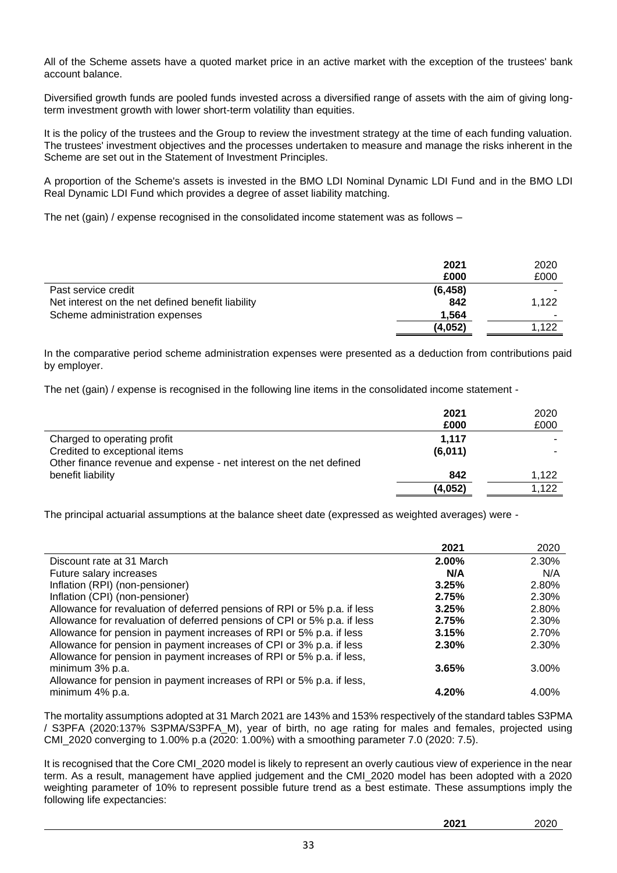All of the Scheme assets have a quoted market price in an active market with the exception of the trustees' bank account balance.

Diversified growth funds are pooled funds invested across a diversified range of assets with the aim of giving longterm investment growth with lower short-term volatility than equities.

It is the policy of the trustees and the Group to review the investment strategy at the time of each funding valuation. The trustees' investment objectives and the processes undertaken to measure and manage the risks inherent in the Scheme are set out in the Statement of Investment Principles.

A proportion of the Scheme's assets is invested in the BMO LDI Nominal Dynamic LDI Fund and in the BMO LDI Real Dynamic LDI Fund which provides a degree of asset liability matching.

The net (gain) / expense recognised in the consolidated income statement was as follows –

|                                                   | 2021<br>£000 | 2020<br>£000 |
|---------------------------------------------------|--------------|--------------|
| Past service credit                               | (6, 458)     |              |
| Net interest on the net defined benefit liability | 842          | 1.122        |
| Scheme administration expenses                    | 1.564        | ۰            |
|                                                   | (4,052)      | 1.122        |

In the comparative period scheme administration expenses were presented as a deduction from contributions paid by employer.

The net (gain) / expense is recognised in the following line items in the consolidated income statement -

|                                                                     | 2021<br>£000 | 2020<br>£000 |
|---------------------------------------------------------------------|--------------|--------------|
| Charged to operating profit                                         | 1.117        |              |
| Credited to exceptional items                                       | (6,011)      |              |
| Other finance revenue and expense - net interest on the net defined |              |              |
| benefit liability                                                   | 842          | 1.122        |
|                                                                     | (4,052)      | 1.122        |

The principal actuarial assumptions at the balance sheet date (expressed as weighted averages) were -

|                                                                          | 2021     | 2020  |
|--------------------------------------------------------------------------|----------|-------|
| Discount rate at 31 March                                                | 2.00%    | 2.30% |
| Future salary increases                                                  | N/A      | N/A   |
| Inflation (RPI) (non-pensioner)                                          | 3.25%    | 2.80% |
| Inflation (CPI) (non-pensioner)                                          | 2.75%    | 2.30% |
| Allowance for revaluation of deferred pensions of RPI or 5% p.a. if less | 3.25%    | 2.80% |
| Allowance for revaluation of deferred pensions of CPI or 5% p.a. if less | 2.75%    | 2.30% |
| Allowance for pension in payment increases of RPI or 5% p.a. if less     | 3.15%    | 2.70% |
| Allowance for pension in payment increases of CPI or 3% p.a. if less     | $2.30\%$ | 2.30% |
| Allowance for pension in payment increases of RPI or 5% p.a. if less,    |          |       |
| minimum 3% p.a.                                                          | 3.65%    | 3.00% |
| Allowance for pension in payment increases of RPI or 5% p.a. if less,    |          |       |
| minimum 4% p.a.                                                          | 4.20%    | 4.00% |

The mortality assumptions adopted at 31 March 2021 are 143% and 153% respectively of the standard tables S3PMA / S3PFA (2020:137% S3PMA/S3PFA\_M), year of birth, no age rating for males and females, projected using CMI\_2020 converging to 1.00% p.a (2020: 1.00%) with a smoothing parameter 7.0 (2020: 7.5).

It is recognised that the Core CMI\_2020 model is likely to represent an overly cautious view of experience in the near term. As a result, management have applied judgement and the CMI\_2020 model has been adopted with a 2020 weighting parameter of 10% to represent possible future trend as a best estimate. These assumptions imply the following life expectancies: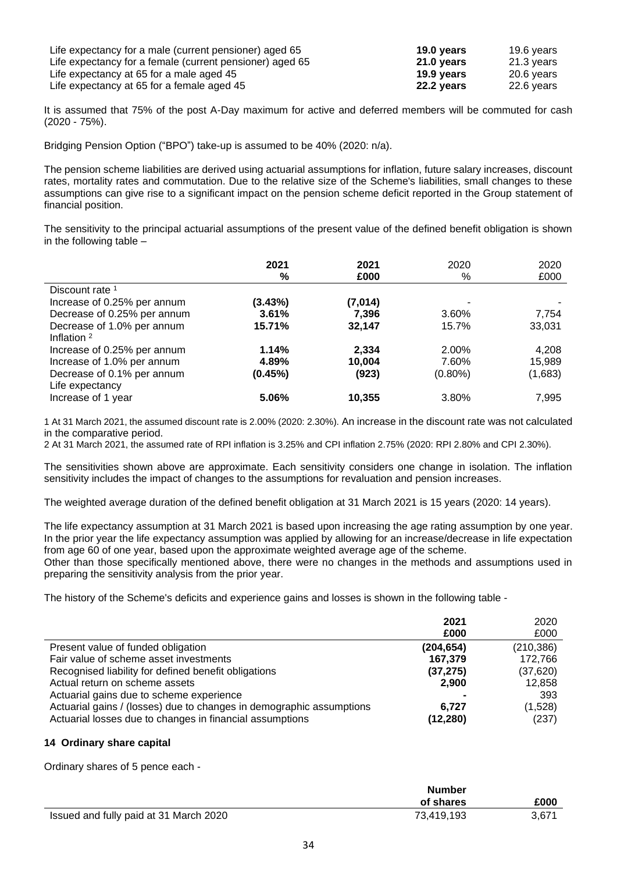| Life expectancy for a male (current pensioner) aged 65   | 19.0 vears | 19.6 years |
|----------------------------------------------------------|------------|------------|
| Life expectancy for a female (current pensioner) aged 65 | 21.0 years | 21.3 vears |
| Life expectancy at 65 for a male aged 45                 | 19.9 vears | 20.6 vears |
| Life expectancy at 65 for a female aged 45               | 22.2 years | 22.6 vears |

It is assumed that 75% of the post A-Day maximum for active and deferred members will be commuted for cash (2020 - 75%).

Bridging Pension Option ("BPO") take-up is assumed to be 40% (2020: n/a).

The pension scheme liabilities are derived using actuarial assumptions for inflation, future salary increases, discount rates, mortality rates and commutation. Due to the relative size of the Scheme's liabilities, small changes to these assumptions can give rise to a significant impact on the pension scheme deficit reported in the Group statement of financial position.

The sensitivity to the principal actuarial assumptions of the present value of the defined benefit obligation is shown in the following table –

|                             | 2021<br>% | 2021<br>£000 | 2020<br>%  | 2020<br>£000 |
|-----------------------------|-----------|--------------|------------|--------------|
| Discount rate <sup>1</sup>  |           |              |            |              |
| Increase of 0.25% per annum | (3.43%)   | (7,014)      |            |              |
| Decrease of 0.25% per annum | 3.61%     | 7.396        | 3.60%      | 7,754        |
| Decrease of 1.0% per annum  | 15.71%    | 32,147       | 15.7%      | 33,031       |
| Inflation <sup>2</sup>      |           |              |            |              |
| Increase of 0.25% per annum | 1.14%     | 2,334        | 2.00%      | 4,208        |
| Increase of 1.0% per annum  | 4.89%     | 10,004       | 7.60%      | 15,989       |
| Decrease of 0.1% per annum  | (0.45%)   | (923)        | $(0.80\%)$ | (1,683)      |
| Life expectancy             |           |              |            |              |
| Increase of 1 year          | 5.06%     | 10,355       | 3.80%      | 7,995        |

1 At 31 March 2021, the assumed discount rate is 2.00% (2020: 2.30%). An increase in the discount rate was not calculated in the comparative period.

2 At 31 March 2021, the assumed rate of RPI inflation is 3.25% and CPI inflation 2.75% (2020: RPI 2.80% and CPI 2.30%).

The sensitivities shown above are approximate. Each sensitivity considers one change in isolation. The inflation sensitivity includes the impact of changes to the assumptions for revaluation and pension increases.

The weighted average duration of the defined benefit obligation at 31 March 2021 is 15 years (2020: 14 years).

The life expectancy assumption at 31 March 2021 is based upon increasing the age rating assumption by one year. In the prior year the life expectancy assumption was applied by allowing for an increase/decrease in life expectation from age 60 of one year, based upon the approximate weighted average age of the scheme.

Other than those specifically mentioned above, there were no changes in the methods and assumptions used in preparing the sensitivity analysis from the prior year.

The history of the Scheme's deficits and experience gains and losses is shown in the following table -

|                                                                      | 2021<br>£000 | 2020<br>£000 |
|----------------------------------------------------------------------|--------------|--------------|
|                                                                      |              |              |
| Present value of funded obligation                                   | (204, 654)   | (210, 386)   |
| Fair value of scheme asset investments                               | 167,379      | 172,766      |
| Recognised liability for defined benefit obligations                 | (37, 275)    | (37, 620)    |
| Actual return on scheme assets                                       | 2.900        | 12,858       |
| Actuarial gains due to scheme experience                             |              | 393          |
| Actuarial gains / (losses) due to changes in demographic assumptions | 6.727        | (1,528)      |
| Actuarial losses due to changes in financial assumptions             | (12, 280)    | (237)        |

# **14 Ordinary share capital**

Ordinary shares of 5 pence each -

|                                        | <b>Number</b> |       |
|----------------------------------------|---------------|-------|
|                                        | of shares     | £000  |
| Issued and fully paid at 31 March 2020 | 73.419.193    | 3,671 |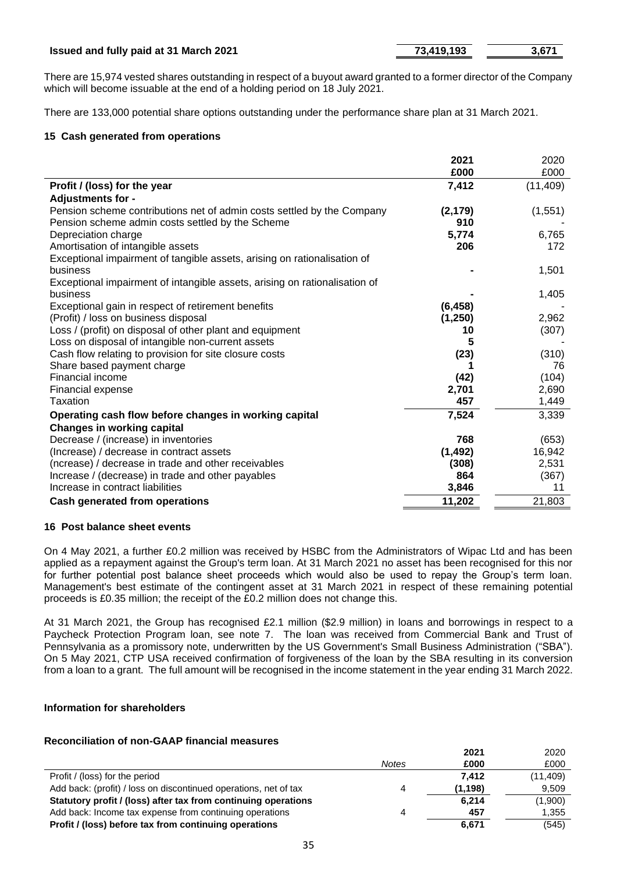### **Issued and fully paid at 31 March 2021 19 12 13:419,193 13,671**

There are 15,974 vested shares outstanding in respect of a buyout award granted to a former director of the Company which will become issuable at the end of a holding period on 18 July 2021.

There are 133,000 potential share options outstanding under the performance share plan at 31 March 2021.

### **15 Cash generated from operations**

|                                                                            | 2021<br>£000 | 2020<br>£000 |
|----------------------------------------------------------------------------|--------------|--------------|
| Profit / (loss) for the year                                               | 7,412        | (11, 409)    |
| <b>Adjustments for -</b>                                                   |              |              |
| Pension scheme contributions net of admin costs settled by the Company     | (2, 179)     | (1, 551)     |
| Pension scheme admin costs settled by the Scheme                           | 910          |              |
| Depreciation charge                                                        | 5,774        | 6,765        |
| Amortisation of intangible assets                                          | 206          | 172          |
| Exceptional impairment of tangible assets, arising on rationalisation of   |              |              |
| business                                                                   |              | 1,501        |
| Exceptional impairment of intangible assets, arising on rationalisation of |              |              |
| business                                                                   |              | 1,405        |
| Exceptional gain in respect of retirement benefits                         | (6, 458)     |              |
| (Profit) / loss on business disposal                                       | (1,250)      | 2,962        |
| Loss / (profit) on disposal of other plant and equipment                   | 10           | (307)        |
| Loss on disposal of intangible non-current assets                          | 5            |              |
| Cash flow relating to provision for site closure costs                     | (23)         | (310)        |
| Share based payment charge                                                 |              | 76           |
| Financial income                                                           | (42)         | (104)        |
| Financial expense                                                          | 2,701        | 2,690        |
| Taxation                                                                   | 457          | 1,449        |
| Operating cash flow before changes in working capital                      | 7,524        | 3,339        |
| <b>Changes in working capital</b>                                          |              |              |
| Decrease / (increase) in inventories                                       | 768          | (653)        |
| (Increase) / decrease in contract assets                                   | (1, 492)     | 16,942       |
| (ncrease) / decrease in trade and other receivables                        | (308)        | 2,531        |
| Increase / (decrease) in trade and other payables                          | 864          | (367)        |
| Increase in contract liabilities                                           | 3,846        | 11           |
| <b>Cash generated from operations</b>                                      | 11,202       | 21,803       |

### **16 Post balance sheet events**

On 4 May 2021, a further £0.2 million was received by HSBC from the Administrators of Wipac Ltd and has been applied as a repayment against the Group's term loan. At 31 March 2021 no asset has been recognised for this nor for further potential post balance sheet proceeds which would also be used to repay the Group's term loan. Management's best estimate of the contingent asset at 31 March 2021 in respect of these remaining potential proceeds is £0.35 million; the receipt of the £0.2 million does not change this.

At 31 March 2021, the Group has recognised £2.1 million (\$2.9 million) in loans and borrowings in respect to a Paycheck Protection Program loan, see note 7. The loan was received from Commercial Bank and Trust of Pennsylvania as a promissory note, underwritten by the US Government's Small Business Administration ("SBA"). On 5 May 2021, CTP USA received confirmation of forgiveness of the loan by the SBA resulting in its conversion from a loan to a grant. The full amount will be recognised in the income statement in the year ending 31 March 2022.

## **Information for shareholders**

### **Reconciliation of non-GAAP financial measures**

|                                                                  |              | 2021     | 2020      |
|------------------------------------------------------------------|--------------|----------|-----------|
|                                                                  | <b>Notes</b> | £000     | £000      |
| Profit / (loss) for the period                                   |              | 7.412    | (11, 409) |
| Add back: (profit) / loss on discontinued operations, net of tax | 4            | (1, 198) | 9.509     |
| Statutory profit / (loss) after tax from continuing operations   |              | 6.214    | (1,900)   |
| Add back: Income tax expense from continuing operations          | 4            | 457      | 1,355     |
| Profit / (loss) before tax from continuing operations            |              | 6,671    | (545)     |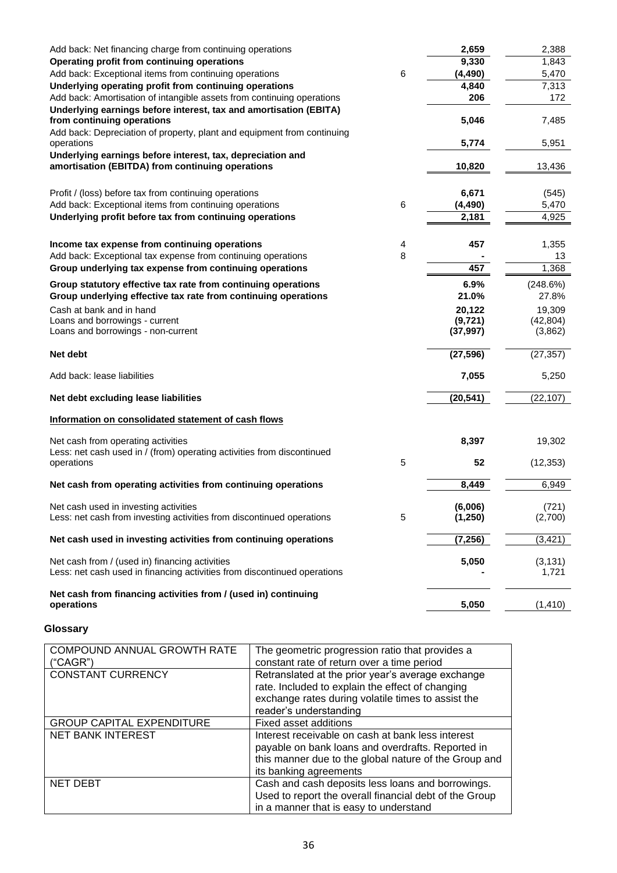| Add back: Net financing charge from continuing operations                            |   | 2,659     | 2,388     |
|--------------------------------------------------------------------------------------|---|-----------|-----------|
| Operating profit from continuing operations                                          |   | 9,330     | 1,843     |
| Add back: Exceptional items from continuing operations                               | 6 | (4, 490)  | 5,470     |
| Underlying operating profit from continuing operations                               |   | 4,840     | 7,313     |
| Add back: Amortisation of intangible assets from continuing operations               |   | 206       | 172       |
| Underlying earnings before interest, tax and amortisation (EBITA)                    |   |           |           |
| from continuing operations                                                           |   | 5,046     | 7,485     |
| Add back: Depreciation of property, plant and equipment from continuing              |   |           |           |
| operations                                                                           |   | 5,774     | 5,951     |
| Underlying earnings before interest, tax, depreciation and                           |   |           |           |
| amortisation (EBITDA) from continuing operations                                     |   | 10,820    | 13,436    |
| Profit / (loss) before tax from continuing operations                                |   | 6,671     | (545)     |
| Add back: Exceptional items from continuing operations                               | 6 | (4, 490)  | 5,470     |
| Underlying profit before tax from continuing operations                              |   | 2,181     | 4,925     |
|                                                                                      |   |           |           |
| Income tax expense from continuing operations                                        | 4 | 457       | 1,355     |
| Add back: Exceptional tax expense from continuing operations                         | 8 |           | 13        |
| Group underlying tax expense from continuing operations                              |   | 457       | 1,368     |
| Group statutory effective tax rate from continuing operations                        |   | 6.9%      | (248.6%)  |
| Group underlying effective tax rate from continuing operations                       |   | 21.0%     | 27.8%     |
| Cash at bank and in hand                                                             |   | 20,122    | 19,309    |
| Loans and borrowings - current                                                       |   | (9, 721)  | (42, 804) |
| Loans and borrowings - non-current                                                   |   | (37, 997) | (3,862)   |
| Net debt                                                                             |   | (27, 596) | (27, 357) |
| Add back: lease liabilities                                                          |   | 7,055     | 5,250     |
| Net debt excluding lease liabilities                                                 |   | (20, 541) | (22, 107) |
| Information on consolidated statement of cash flows                                  |   |           |           |
|                                                                                      |   |           |           |
| Net cash from operating activities                                                   |   | 8,397     | 19,302    |
| Less: net cash used in / (from) operating activities from discontinued<br>operations | 5 | 52        | (12, 353) |
|                                                                                      |   |           |           |
| Net cash from operating activities from continuing operations                        |   | 8,449     | 6,949     |
| Net cash used in investing activities                                                |   | (6,006)   | (721)     |
| Less: net cash from investing activities from discontinued operations                | 5 | (1,250)   | (2,700)   |
|                                                                                      |   |           |           |
| Net cash used in investing activities from continuing operations                     |   | (7, 256)  | (3, 421)  |
| Net cash from / (used in) financing activities                                       |   | 5,050     | (3, 131)  |
| Less: net cash used in financing activities from discontinued operations             |   |           | 1,721     |
| Net cash from financing activities from / (used in) continuing                       |   |           |           |
| operations                                                                           |   | 5,050     | (1, 410)  |

# **Glossary**

| COMPOUND ANNUAL GROWTH RATE<br>("CAGR") | The geometric progression ratio that provides a<br>constant rate of return over a time period                                                                                             |
|-----------------------------------------|-------------------------------------------------------------------------------------------------------------------------------------------------------------------------------------------|
| <b>CONSTANT CURRENCY</b>                | Retranslated at the prior year's average exchange<br>rate. Included to explain the effect of changing<br>exchange rates during volatile times to assist the<br>reader's understanding     |
| <b>GROUP CAPITAL EXPENDITURE</b>        | Fixed asset additions                                                                                                                                                                     |
| <b>NET BANK INTEREST</b>                | Interest receivable on cash at bank less interest<br>payable on bank loans and overdrafts. Reported in<br>this manner due to the global nature of the Group and<br>its banking agreements |
| <b>NET DEBT</b>                         | Cash and cash deposits less loans and borrowings.<br>Used to report the overall financial debt of the Group<br>in a manner that is easy to understand                                     |